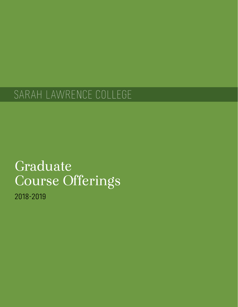# SARAH LAWRENCE COLLEGE

# Graduate Course Offerings

2018-2019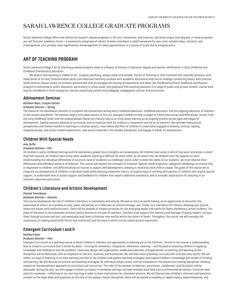# <span id="page-2-0"></span>SARAH LAWRENCE COLLEGE GRADUATE PROGRAMS

Sarah Lawrence College offers nine distinctive master's degree programs in the arts, humanities, and sciences, and three unique dual degrees. In these programs, you will find your academic home—a community comprised of vibrant thinkers and doers; a solid framework for your most complex ideas, interests, and investigations; and, perhaps most significantly, encouragement for deep specialization in a course of study that is uniquely yours.

# <span id="page-2-1"></span>**ART OF TEACHING PROGRAM**

Sarah Lawrence College's Art of Teaching graduate program leads to a Master of Science in Education degree and teacher certification in Early Childhood and Childhood (Elementary) Education.

We believe that teaching is indeed an art, uniquely satisfying, always made and remade. The Art of Teaching is child-centered and culturally sensitive, with observation at its core. Extensive observation and classroom teaching combine with academic discussions and course readings connecting theory with practice. Small seminar classes create an intimate environment that encourages the sharing of experiences and ideas. Our Childhood and Early Childhood certification program is committed to public education, particularly in urban areas, and graduates find teaching positions in a range of public and private schools. Course work may be considered in three categories: courses connecting content and pedagogy; pedagogical courses; and practicums.

# **Advisement Seminar**

*Kathleen Ruen, Lorayne Carbon*

## *Graduate Seminar—Spring*

The theme of the Advisement Seminar is to explore the connections among early childhood education, childhood education, and the ongoing education of teachers in the content disciplines. The seminar begins with observations of the very youngest children to help us begin to frame continuities and differences. Faculty from the Early Childhood Center and the undergraduate liberal-arts faculty help us to think about learning as an ongoing process across ages and stages of development, leading sessions devoted to curriculum and its evolution both for children in classrooms and for us as teachers. We consider intercultural perspectives and themes related to teaching in a diverse society; view videos and films of children in classrooms engaged in drawing, writing, reading, imaginative play, and social-studies explorations; read source material in the content disciplines; and engage in hands-on explorations.

# **Children With Special Needs**

#### *Amy Soffer*

#### *Graduate Seminar—Fall*

All children in early childhood settings and the elementary grades have strengths and weaknesses. All children have areas in which they excel and areas in which they feel insecure. All children have times when academic learning is difficult for them while, at the same time, all children have the capacity to learn. Understanding the individual differences of an entire class of students is a challenge; and in order to meet the needs of our students, we must observe their differences and individual patterns of behavior. This course will explore the concepts of inclusion; special-needs diagnostic categories; designing curriculum that is responsive to children; and differentiating curriculum to support skill development, keeping in mind that each child is unique. The goals of the course are to integrate our perspectives of children's individual needs while planning classroom inquiry; to explore ways of working with parents of children who require special support; to understand how to access support and feedback for children that require additional assistance; and to consider implications for teaching in an inclusive classroom and school.

## **Children's Literature and Artistic Development**

#### *Pamela Tanenbaum*

#### *Graduate Seminar—Summer*

This course emphasizes the role of children's literature in classrooms and schools. We look at story as world making; as an opportunity to encounter the experience of others; as a window on play, place, and period; as a reflection of cultural heritage; and, finally, as a motivation for literacy. Readings pair picture books and novels with nonfiction texts. There will be samples of simple narratives for the emerging reader and novels for fluent elementary-school students. The place of literature in the classroom involves careful choices on the part of teachers. Teachers must support the interests and heritage of young readers, intrigue them through pictures and text, and eventually lead them to discover new worlds within the covers of books. Throughout the course, we will consider the importance of reading aloud (both fiction and nonfiction) and the ways in which stories inspire artistic expression.

# **Emergent Curriculum I and II**

#### *Kathleen Ruen*

#### *Graduate Seminar—Year*

Emergent Curriculum is a yearlong course in which children's interests and approaches to learning are at the forefront. Central to the course is understanding how to create a curriculum that is driven by ideas—striving for wholeness, integration, coherence, meaning—and focused on assisting children in applying knowledge and thinking to real-life problems. Classroom design and organization, media and materials, and approaches to teaching and learning across disciplines will be discussed, with an emphasis on the arts, sciences, and humanities. We will learn how to develop curricula with multiple entry points. We will reflect on ways of knowing in our own learning and that of the children and explore teaching strategies that expand children's knowledge and modes of thinking and learning. We will discuss curriculum and teaching strategies for individual subject areas, with an emphasis on the connections among disciplines, building toward an interdisciplinary approach to curriculum and instruction. The roles of the teacher as observer, provisioner, collaborator, and facilitator will be discussed. During the year, we will engage in hands-on inquiry in workshop settings and take multiple local field trips to environmental centers, historical sites, and arts museums—reflecting on our own learning in order to draw implications for classroom practice. We will discuss how children's interests and questions connect to the large ideas and questions at the core of the subject-matter disciplines. Value will be placed on enabling in-depth inquiry, experimentation, and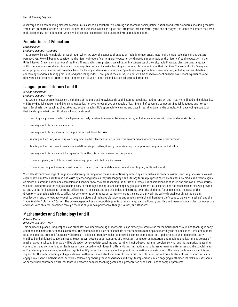#### 3 **Art of Teaching Program**

discovery and on establishing classroom communities based on collaborative learning and rooted in social justice. National and state standards, including the New York State Standards for the Arts, Social Studies, and Sciences, will be critiqued and integrated into our work. By the end of the year, students will create their own multidisciplinary curriculum plan, which will become a resource for colleagues and Art of Teaching alumni.

# **Foundations of Education**

## *Kathleen Ruen*

#### *Graduate Seminar—Summer*

This course will explore multiple lenses through which we view the concept of education, including theoretical, historical, political, sociological, and cultural perspectives. We will begin by considering the historical roots of contemporary education, with particular emphasis on the history of public education in the United States. Drawing on a variety of readings, films, and in-class projects, we will examine constructs of diversity including race, class, culture, language, ability, gender, and sexual identity and discover ways to create an inclusive learning environment for students and their families. The work of John Dewey and other progressive educators will provide a basis for looking at democratic ideals and "pendulum swings" in American education, including current debates concerning standards, testing practices, and political agendas. Throughout the course, students will be asked to reflect on their own school experiences and fieldwork observations in order to make connections between historical and current educational practices.

## **Language and Literacy I and II**

## *Jerusha Beckerman*

#### *Graduate Seminar—Year*

This two-semester course focuses on the making of meaning and knowledge through listening, speaking, reading, and writing in early childhood and childhood. All children—English speakers and English language learners—are recognized as capable of learning and of becoming competent English language and literacy users. Emphasis is on teaching that takes into account each child's approach to learning and pace in learning, valuing the complexity in developing instruction that builds upon what the child already knows and can do.

- Learning is a process by which each person actively constructs meaning from experience, including encounters with print and nonprint texts.
- Language and literacy are social acts.
- Language and literacy develop in the pursuit of real-life enterprise.
- Reading and writing, as with spoken language, are best learned in rich, interactive environments where they serve real purposes.
- Reading and writing do not develop in predefined stages; rather, literacy understanding is complex and unique to the individual.
- Language and literacy cannot be separated from the total expressiveness of the person.
- Literacy is power, and children must have every opportunity to know its power.
- Literacy teaching and learning must be re-envisioned to accommodate a multimodal, multilingual, multimedia world.

We will build our knowledge of language and literacy learning upon these assumptions by reflecting on ourselves as readers, writers, and language users. We will explore how children learn to read and write by observing them as they use language and literacy for real purposes. We will consider new media and technologies as modes of communication and expression and consider how they are reshaping the future of literacy. Our observations of children and our own literacy stories will help us understand the range and complexity of meanings and approaches among any group of learners. Our observations and recollections also will provide an entry point for discussions regarding differences in race, class, ethnicity, gender, and learning style. The challenge for schools to be inclusive of the diversity—to enable each child to differ, yet belong to the community of learners—lies at the core of our work. We will—through our child studies, our recollections, and the readings—begin to develop a picture of inclusive classrooms and schools in which children have the "space to dance with others" and the "room to differ" (Patricia F. Carini). The course paper will be an in-depth inquiry focused on language and literacy teaching and learning and on classroom practice and work with children, examined through the lens of your own philosophy, thought, values, and standards.

## **Mathematics and Technology I and II**

#### *Patricia Virella*

#### *Graduate Seminar—Year*

This course will place strong emphasis on students' own understanding of mathematics as directly related to the mathematics that they will be teaching in earlychildhood and elementary-school classrooms. The course will focus on core concepts of mathematics teaching and learning: the science of patterns and number relationships. Patterns and functions will serve as the lenses through which students will examine connections and applications of the topics to the early childhood and childhood school curricula. Students will develop understandings of the content, concepts, computation, and teaching and learning strategies of mathematics in schools. Emphasis will be placed on constructivist teaching and learning; inquiry-based learning; problem solving; and mathematical reasoning, connections, and communication. Students will be exposed to techniques in differentiating instruction that addresses learning differences and the special needs of English-language learners, as well as ways to identify tasks that challenge and augment mathematical understandings. The use of technology as an integral support for the understanding and application of mathematics will also be a focus of the course. Each class session will provide students with opportunities to engage in authentic mathematical activities, followed by sharing these experiences and ways to implement similar, engaging mathematical tasks in classrooms. As part of their conference work, students will create a concept teaching game and a presentation of the solutions to complex problems.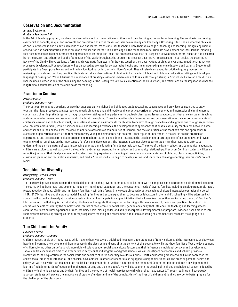## **Observation and Documentation**

## *Jerusha Beckerman*

#### *Graduate Seminar—Fall*

In the Art of Teaching program, we place the observation and documentation of children and their learning at the center of teaching. The emphasis is on seeing every child as capable, unique, and knowable and on children as active makers of their own meaning and knowledge. Observing is focused on what the child can do and is interested in and on how each child thinks and learns. We assume that teachers create their knowledge of teaching and learning through longitudinal observation and documentation of each child as a thinker and learner. This knowledge is the foundation for curriculum development and instructional planning that accommodate individual interests and approaches to learning. The ideas and processes developed at Prospect Archive and Center for Education and Research, by Patricia Carini and others, will be the foundation of the work throughout the course. The Prospect Descriptive Processes and, in particular, the Descriptive Review of the Child will give students a formal and systematic framework for drawing together their observations of children over time. In addition, the review processes developed at Prospect Center will be discussed as avenues for collaborative inquiry and meaning-making among educators and parents. Students will participate in a Descriptive Review and will review longitudinal collections of children's work. They will also learn about descriptive inquiry processes for reviewing curricula and teaching practice. Students will share observations of children in both early childhood and childhood education settings and develop a language of description. We will discuss the importance of creating classrooms where each child is visible through strength. Students will develop a child study that includes: a description of the child using the headings of the Descriptive Review, a collection of the child's work, and reflections on the implications that the longitudinal documentation of the child holds for teaching.

## **Practicum Seminar**

## *Patricia Virella*

#### *Graduate Seminar—Year*

The Practicum Seminar is a yearlong course that supports early childhood and childhood student-teaching experiences and provides opportunities to draw together the ideas, processes, and approaches in early childhood and childhood teaching practice, curriculum development, and instructional planning across content disciplines in prekindergarten through grade two settings and in grades one-through-six classrooms. Issues and questions that arise in student teaching and continue to be present in classrooms and schools will be explored. These include the role of observation and documentation as they inform assessments of children's learning and of teaching itself; the creation of learning environments for children from birth through grade two and in grades one through six, inclusive of all children across racial, ethnic, socioeconomic, and learning differences; the development of approaches that enable continuity for children between home and school and in their school lives; the development of classrooms as communities of learners; and the exploration of the teacher's role and approaches to classroom organization and structure that relate to very young and elementary-age children. Other topics of importance in the course are the creation of opportunities and processes for collaboration among teachers, parents, and administrators and the development of strategies to reflect on, renew, and revise teaching with an emphasis on the importance of professional development. The Practicum Seminar also supports students in their continued efforts to understand the political nature of teaching, placing emphasis on educating for a democratic society. The roles of the family, school, and community in educating children are explored, as well as current philosophies and climate regarding home, school, and community relationships. Practicum Seminar students will keep a reflective journal of their field placement and student-teaching experiences, including observation and documentation of children, classrooms, activities, curriculum planning and facilitation, materials, and media. Students will also begin to develop, refine, and share their thinking regarding their master's project topics.

## **Teaching for Diversity**

## *Carley Reidy, Patricia Virella*

#### *Graduate Seminar—Year*

This course will provide instruction in the methodologies of teaching diverse communities of learners, with an emphasis on meeting the needs of at-risk students. The course will address racial and economic inequality, multilingual education, and the educational needs of diverse families, including single-parent, multiracial, foster, adoptive, blended, LGBTQ, and immigrant families. It will bring forward new research-based practice, such as sheltered instruction operational protocol (SIOP), STEAM learning, and the project model. Engaging families and encouraging them to become collaborators in their child's schooling will be addressed. All students will attend a biweekly, discussion-based seminar and participate in campus initiatives that address key course themes, including the Art of Teaching's Film Series and the Undoing Racism Workshop. Students will integrate their experiential learning with theory, research, policy, and practice. Students in this course will be able to: identify the complex social factors of race, ethnicity, social class, gender, and ability that influence the teaching and learning process; examine their own cultural experience of race, ethnicity, social class, gender, and ability; incorporate developmentally appropriate, evidence-based practice into their classrooms; develop strategies for culturally responsive teaching and assessment; and create a learning environment that respects the dignity of all students.

## **The Child and the Family**

#### *Linwood J. Lewis*

#### *Graduate Seminar—Summer*

Children must struggle with many issues while making their way toward adulthood. Teachers' understandings of family culture and the interconnections between health and learning are crucial to children's success in the classroom and central to the content of this course. We will study how families affect the development of children, for no other unit of analysis more richly displays gender, social, and cultural factors and their influence on individual behavior and development. Today, children spend more time than ever before in early childhood programs and grade schools. We will investigate how families and schools provide a framework for the exploration of the social world and socialize children according to cultural norms. Health and learning are intertwined in the context of the child's social, emotional, intellectual, and physical development. In order for teachers to be equipped to help their students in the areas of personal health and safety, we will review the national and state health learning standards, as well as the range of environmental factors that inhibit children's development and learning (including the identification and implications of drug and alcohol abuse). We will also examine the social, political, and psychological concerns faced by children with chronic diseases and by their families and the plethora of health-care issues with which they must contend. Through readings and case-study analyses, students will explore the importance of teachers' understanding of the complexities of the lives of children and families in order to better prepare for the challenges of the classroom.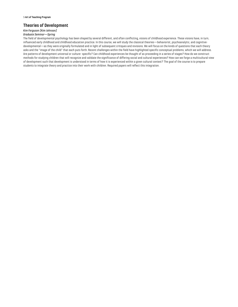# **Theories of Development**

# *Kim Ferguson (Kim Johnson)*

# *Graduate Seminar—Spring*

The field of developmental psychology has been shaped by several different, and often conflicting, visions of childhood experience. These visions have, in turn, influenced early childhood and childhood education practice. In this course, we will study the classical theories—behaviorist, psychoanalytic, and cognitivedevelopmental—as they were originally formulated and in light of subsequent critiques and revisions. We will focus on the kinds of questions that each theory asks and the "image of the child" that each puts forth. Recent challenges within the field have highlighted specific conceptual problems, which we will address. Are patterns of development universal or culture- specific? Can childhood experiences be thought of as proceeding in a series of stages? How do we construct methods for studying children that will recognize and validate the significance of differing social and cultural experiences? How can we forge a multicultural view of development such that development is understood in terms of how it is experienced within a given cultural context? The goal of the course is to prepare students to integrate theory and practice into their work with children. Required papers will reflect this integration.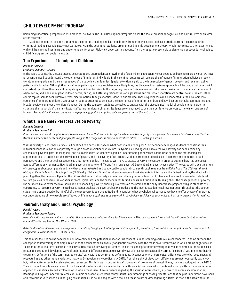# <span id="page-6-0"></span>**CHILD DEVELOPMENT PROGRAM**

Combining theoretical perspectives with practical fieldwork, the Child Development Program places the social, emotional, cognitive, and cultural lives of children at the forefront.

Students engage in research throughout the program, reading and learning directly from primary sources such as journals, current research, and the writings of leading psychologists—not textbooks. From the beginning, students are immersed in child development theory, which they relate to their experiences with children in small seminars and one-on-one conferences. Fieldwork opportunities abound, from therapeutic preschools to elementary or secondary schools to child-life programs on pediatric wards.

# **The Experiences of Immigrant Children**

## *Rochelle Cassells*

## *Graduate Seminar—Spring*

In the years to come, the United States is expected to see unprecedented growth in the foreign-born population. As our population becomes more diverse, we have an essential need to understand the experiences of immigrant individuals. In this seminar, students will explore the influence of immigration policies on recent trends in immigration and the consequences of those policies on families. Special attention is paid to the intersection of gender, poverty, and race in shaping patterns of migration. Although theories of immigration span many social-science disciplines, the bioecological-systems approach will be used as a framework for contextualizing these theories and for applying a child-centric view to the migratory process. This seminar will take turns considering the unique experiences of Asian, Latinx, and black immigrant children before, during, and after migration.Issues of legal status and maternal separation are central course themes. Other course topics include acculturative stress, discrimination, family dynamics, identity, and trauma. These experiences will be connected to the developmental outcomes of immigrant children. Course work requires students to consider the experiences of immigrant children and how best our schools, communities, and broader society can meet the children's needs. During the semester, students are asked to engage with the bioecological model of development in order to structure their analysis of the many factors affecting immigrant children. Students are encouraged to use their conference projects to hone in on one area of interest. *Prerequisite: Previous course work in psychology, politics, or public policy or permission of the instructor.*

## **What's in a Name? Perspectives on Poverty**

## *Rochelle Cassells*

#### *Graduate Seminar—Fall*

*Poverty, misery, or want is a phantom with a thousand faces that vents its fury primarily among the majority of people who live in what is referred to as the Third World and among the pockets of poor people living on the fringes of the large industrialized cities*… —Santiago Barquín

What is poverty? Does it have a face? Is it confined to a particular space? What does it mean to be poor? This seminar challenges students to confront their individual conceptualizations of poverty through a cross-disciplinary study into its dynamics. Readings will survey the way poverty has been defined by economists, psychologists, philosophers, and neuroscientists. Students will gain an understanding of how these definitions bear on the methodological approaches used to study both the prevalence of poverty and the severity of its effects. Students are expected to discuss the merits and demerits of each perspective and the practical consequences that they engender. The course will move to situate poverty into context in order to examine how it is expressed across different environments. How is urban poverty similar to or different from rural poverty? Does suburban poverty even exist? The course will trace the origin of stereotypes about poor people and how they are perpetuated and supported by popular discourse through readings from *White Trash: The 200-year Untold History of Class in America*. Readings from *\$2.00 a Day: Living on Almost Nothing in America* will ask students to interrogate the factuality of myths about who is poor. Together, the course will ponder the differential impact of poverty on racial and ethnic groups in America. Students will be asked to evaluate state-level welfare policies to observe the variation in state legislatures and the consequences for individuals and families. In thinking about the consequences of poverty, the course will also cover the way individuals are shaped by poverty, charting its effects on the brain and the body. Conference projects will give students the opportunity to research poverty-related social issues such as the poverty-obesity paradox and the income-academic achievement gap. Throughout the course, students are encouraged to be mindful of the way poverty is operationalized and to consider what psychological perspectives have to offer by way of improving our understanding of how people are affected by life in poverty. *Previous coursework in psychology, sociology, or economics or instructor permission is required.*

# **Neurodiversity and Clinical Psychology**

## *David Sivesind*

#### *Graduate Seminar—Spring*

*Neurodiversity may be every bit as crucial for the human race as biodiversity is for life in general. Who can say what form of wiring will prove best at any given moment?* —Harvey Blume, *The Atlantic*, 1998

*Defects, disorders, diseases can play a paradoxical role by bringing out latent powers, developments, evolutions, forms of life that might never be seen, or even be imaginable, in their absence.* —Oliver Sacks

This seminar focuses on the concept of neurodiversity and the potential impact of this concept in understanding certain clinical concerns. To some authors, the concept of neurodiversity is of simple relation to the concepts of biodiversity or genetic diversity, with the focus on different ways in which brains might develop. To other authors, the term describes a social/political stance in viewing difference. This is the concept of neurodiversity that will be explored in the course, as it relates to current and developing ways of understanding difference related to several ways of presenting traditionally-termed "disorders" within mental-health treatment. Definitions of the term "neurodiversity" vary, with one conference defining it as: "A concept where neurological differences are to be recognized and respected as any other human variation. (National Symposium on Neurodiversity, 2011). From this point of view, such differences are not necessarily pathology but, rather, differences to be celebrated and respected. This is in stark contrast to deficit models of taxonomy of mental illness, such as catalogued in the DSM 5. The course will provide an overview of this form of disorder description in order to frame those points of view, which contain distinctly different and sometimes opposed assumptions. We will explore ways in which those views have influence regarding the spirit of intervention (i.e., correction versus accommodation). Readings will explore important related continuums of essentialist versus contextualist understandings of those presentations that help us understand how focus of interventions vary based on underlying assumptions. The course begins with a focus on those points of view regarding autism, as that is the area where the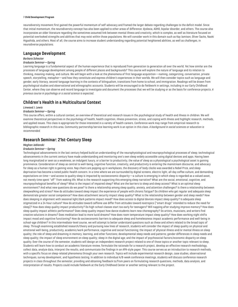#### 7 **Child Development Program**

neurodiversity movement first gained the powerful momentum of self-advocacy and framed the larger debate regarding challenges to the deficit model. Since that initial momentum, the neurodiversity concept has also been applied to other areas of difference: dyslexia, ADHD, bipolar disorder, and others. The course also incorporates an older literature regarding the sometimes assumed link between mental illness and creativity, which is complex, as well as literature focused on potential overlooked strengths and abilities that may exist within those populations. We will consider work in this domain such as Kay Jamison, Oliver Sacks, Naoki Higashida, and others. Most of all, the course aims to increase student understanding regarding potential heightened abilities, as well as challenges, in neurodiverse populations.

## **Language Development**

#### *Barbara Schecter*

#### *Graduate Seminar—Spring*

Learning language is a fundamental aspect of the human experience that is reproduced from generation to generation all over the world. Yet how similar are the processes of language development among people of different places and backgrounds? This course will explore the nature of language and its relation to thinking, meaning-making, and culture. We will begin with a look at the phenomena of first language acquisition—naming, categorizing, conversation, private speech, storytelling, metaphor—and how they constitute and express children's experiences in their worlds. We will then consider topics such as language and gender, early literacy, second-language learning in the contexts of bilingualism, transitions from home to school, and immigration. Readings will be drawn from psychological studies and observational and ethnographic accounts. Students will be encouraged to do fieldwork in settings, including in our Early Childhood Center, where they can observe and record language to investigate and document the processes that we will be studying or as the basis for conference projects. *A previous course in psychology or a social science is expected.*

# **Children's Health in a Multicultural Context**

#### *Linwood J. Lewis*

#### *Graduate Seminar—Spring*

This course offers, within a cultural context, an overview of theoretical and research issues in the psychological study of health and illness in children. We will examine theoretical perspectives in the psychology of health, health cognition, illness prevention, stress, and coping with illness and highlight research, methods, and applied issues. This class is appropriate for those interested in a variety of health careers. Conference work may range from empirical research to bibliographic research in this area. Community partnership/service learning work is an option in this class. *A background in social sciences or education is recommended.*

# **Research Seminar: 21st-Century Sleep**

## *Meghan Jablonski*

#### *Graduate Seminar—Spring*

Technological advancements in the last century helped build an understanding of the neurophysiological and neuropsychological processes of sleep; technological advancements in the current century have made understanding and monitoring one's own sleep widely accessible using digital devices and apps. Having been long marginalized or seen as a weakness, an indulgent luxury, or a barrier to productivity, the value of sleep as a physiological a psychological asset is gaining prominence. Consideration of sleep as central to well-being, cognitive function, creativity, and productivity is entering the mainstream discourse, and advocacy for sleep as a human right is gaining voice. Nap chairs are popping up in workplaces, the discovery of body clocks was awarded a Nobel Prize, and sleep deprivation has become a noted public-health concern. In a time where we are surrounded by digital screens, electric light, all-day coffee culture, and demanding expectations on time—and access to quality sleep is impacted by socioeconomic disparity—a culture is emerging in which sleep is regarded as a valued asset, not merely time spent "off" from waking life. What is the research supporting this emerging sleep narrative? What are the social, emotional, cognitive, and neuropsychological benefits of sleep? What is the impact of impaired sleep? What are the barriers to sleep and sleep access? What is an optimal sleep environment? And what new questions do we pose? Is there a relationship among sleep quality, anxiety, and attention challenges? Is there a relationship between sleepwalking and stress? How do attitudes toward sleep impact the experience of people with chronic fatigue? Do children who get regular and adequate sleep demonstrate greater social competence? How does attachment security impact sleep quality? What is the relationship between gender and sleep needs? How does sleeping in alignment with seasonal light/dark patterns impact mood? How does access to digital devices impact sleep quality? Is adequate sleep stigmatized in a 24-hour culture? How do attitudes toward caffeine use differ from attitudes toward nootropics ("smart drugs" intended to reduce the need for sleep)? How does sleep quality impact productivity? Do high-school classes start too early for teenagers? Will napping after studying improve memory? How does sleep quality impact athletic performance? Does sleep quality impact how dance students learn new choreography? Do artists, musicians, and writers find creative solutions in dreams? Does meditation lead to more lucid dreams? How does room temperature impact sleep quality? How does working night shifts impact mood and cognitive functioning? How do socioeconomic barriers to adequate sleep and homelessness impact academic performance and well-being in school-age children? In this intermediate-level course, we will attempt to better understand questions such as these and others related to the broad topic of sleep. Through examining established research/theory and pursuing new lines of research, students will consider the impact of sleep quality on physical and emotional well-being, productivity, academic/work performance, cognitive and social functioning; the impact of physical illness and/or mental illness on sleep quality; the role of sleep and dreaming in memory, learning, and other functions; developmental sleep needs and patterns; gender differences in sleep needs and sleep quality; the impact of sleep environment on sleep quality; sleep in the digital age; and the impact of psychosocial factors/economic disparity on sleep quality. Over the course of the semester, students will design an independent research project related to one of those topics or another topic relevant to sleep. Students will learn how to conduct an academic literature review, formulate the rationale for a research project, develop an effective research methodology, collect data, analyze data, interpret the results, and communicate the findings in an APA-style paper. This course serves as an introduction to research methods, with a specific focus on sleep-related phenomena through your own research. Topics will include experimental research design, case studies, observational techniques, survey development, and hypothesis testing. In addition to individual A/B-week conference meetings, students will discuss conference research projects in class throughout the semester, providing and obtaining feedback to/from peers on formulating research questions, methods, data analysis, and interpretation of results. Projects could include fieldwork at the Early Childhood Center or another setting relevant to the project.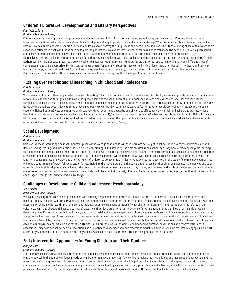# **Children's Literature: Developmental and Literary Perspectives**

## *Charlotte L. Doyle*

## *Graduate Seminar—Spring*

Children's books are an important bridge between adults and the world of children. In this course, we will ask questions such as: What are the purposes of literature for children? What makes a children's book developmentally appropriate for a child of a particular age? What is important to children as they read or listen? How do children become readers? How can children's books portray the uniqueness of a particular culture or subculture, allowing those within to see their experience reflected in books and those outside to gain insight into the lives of others? To what extent can books transcend the particularities of a given period and place? Course readings include writings about child development, works about children's literature, and, most centrally, children's books themselves—picture books, fairy tales, and novels for children. Class emphasis will be on books for children up to the age of about 12. Among our children's book authors will be Margaret Wise Brown, C. S. Lewis, Katherine Paterson, Maurice Sendak, Mildred Taylor, E. B. White, and Vera B. Williams. Many different kinds of conference projects are appropriate for this course. In past years, for example, students have worked with children (and their books) in fieldwork and servicelearning settings, written original work for children (sometimes illustrating it, as well), traced a theme in children's books, explored children's books that illuminate particular racial or ethnic experiences, or examined books that capture the challenge of various disabilities.

## **Puzzling Over People: Social Reasoning in Childhood and Adolescence**

#### *Carl Barenboim*

## *Graduate Seminar—Spring*

We humans tend to find other people to be the most interesting "objects" in our lives—and for good reason. As infants, we are completely dependent upon others for our very survival; and throughout our lives, other people serve as the social bedrock of our existence. We are a social species, one that derives "fitness" through our abilities to read the social terrain and figure out social meaning in our interactions with others. There are a range of timely questions to address: How do we do this, and how does it develop throughout childhood? Are we "hardwired" in some ways to feel what other people are feeling? What about the special case of childhood autism? How do our emotions interact with our cognitions about the social world to affect our views of self and others and our future social lives? What would cause us to have a relatively good or poor "emotional IQ," and what are the consequences? What are the roles of family and childhood friends in this process? These are some of the issues that we will address in this course. The opportunity will be available for hands-on fieldwork with children in order to observe children puzzling over people in real life. *Prerequisite: prior course in psychology.*

## **Social Development**

#### *Carl Barenboim*

#### *Graduate Seminar—Fall*

Some of the most interesting and most important pieces of knowledge that a child will ever learn are not taught in school. So it is with the child's social world. Unlike "reading, writing, and 'rithmetic," there is no "Social Thinking 101." Further, by the time children reach school age, they have already spent years learning the "lessons of life" and affecting those around them. This course will explore the social world of the child from birth through adolescence, focusing on three main areas: parent/child relations, sex-role development, and moral development. Within parenting, we will examine issues such as different parenting "styles," the long-term consequences of divorce, and the "hurrying" of children to achieve major milestones at ever-earlier ages. Within the topic of sex-role development, we will read about the role of powerful socialization forces, including the mass media, and the socialization pressures that children place upon themselves and each other. Within moral development, we will study the growth of moral emotions—such as empathy, shame, and guilt—and the role of gender and culture in shaping our sense of right and wrong. Conference work may include field placement at the Early Childhood Center or other venues, as interactions with real children will be encouraged. *Prerequisite: prior course in psychology.*

# **Challenges to Development: Child and Adolescent Psychopathology**

#### *Jan Drucker*

#### *Graduate Seminar—Spring*

We live in a society that often seems preoccupied with labeling people and their characteristics as "normal" or "abnormal." This course covers some of the material usually found in "Abnormal Psychology" courses by addressing the multiple factors that play a role in shaping a child's development, particularly as those factors may result in what we think of as psychopathology. Starting with a consideration of what the terms "normality" and "pathology" may refer to in our culture, we will read about and discuss a variety of situations that illustrate different interactions of inborn, environmental, and experiential influences on developing lives. For example, we will read theory and case material addressing congenital conditions such as deafness and life events such as acute trauma and abuse, as well as the range of less clear-cut circumstances and complex interactions of variables that have an impact on growth and adaptation in childhood and adolescence. We will try, however, to bring both critical lenses and a range of individual perspectives to bear on our discussion of readings drawn from clinical and developmental psychology, memoir, and research studies. In this process, we will examine a number of the current conversations and controversies about assessment, diagnostic/labeling, early intervention, use of psychoactive medications, and treatment modalities. Students will be required to engage in fieldwork at the Early Childhood Center or elsewhere and may choose whether to focus conference projects on aspects of that experience.

# **Early Intervention Approaches for Young Children and Their Families**

## *Cindy Puccio*

#### *Graduate Seminar—Spring*

This course will explore several early intervention approaches for young children and their families, with a particular emphasis on the theory and technique of play therapy. While the course will focus mostly on child-centered play therapy (CCPT), we will also look at the methodology of other types of approaches and the ways in which those approaches address treatment issues. In addition, course material will highlight cultural considerations, therapeutic work with parents, challenges in treatment, self-reflection, and analysis of case studies. Readings, class discussion, group play-based activities, video illustrations, and reflection will provide students with both a theoretical and a clinical basis for how play-based therapeutic work with young children factors into early intervention.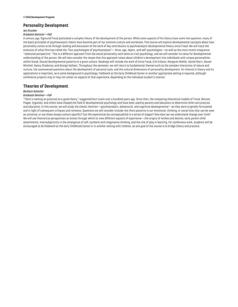## **Personality Development**

## *Jan Drucker*

#### *Graduate Seminar—Fall*

A century ago, Sigmund Freud postulated a complex theory of the development of the person. While some aspects of his theory have come into question, many of the basic principles of psychoanalytic theory have become part of our common culture and worldview. This course will explore developmental concepts about how personality comes to be through reading and discussion of the work of key contributors to psychoanalytic developmental theory since Freud. We will trace the evolution of what Pine has called the "four psychologies of psychoanalysis"—drive, ego, object, and self-psychologies—as well as the more recent integrative "relational perspective." This is a different approach from the social personality work done on trait psychology, and we will consider its value for developmental understanding of the person. We will also consider the issues that this approach raises about children's development into individuals with unique personalities within broad, shared developmental patterns in a given culture. Readings will include the work of Anna Freud, Erik Erikson, Margaret Mahler, Daniel Stern, Steven Mitchell, Nancy Chodorow, and George Vaillant. Throughout the semester, we will return to fundamental themes such as the complex interaction of nature and nurture, the unanswered questions about the development of personal style, and the cultural dimensions of personality development. An interest in theory and its applications is important, as is some background in psychology. Fieldwork at the Early Childhood Center or another appropriate setting is required, although conference projects may or may not center on aspects of that experience, depending on the individual student's interest.

# **Theories of Development**

## *Barbara Schecter*

#### *Graduate Seminar—Fall*

"There's nothing so practical as a good theory," suggested Kurt Lewin over a hundred years ago. Since then, the competing theoretical models of Freud, Skinner, Piaget, Vygotsky, and others have shaped the field of developmental psychology and have been used by parents and educators to determine child-care practice and education. In this course, we will study the classic theories—psychoanalytic, behaviorist, and cognitive-developmental—as they were originally formulated and in light of subsequent critiques and revisions. Questions we will consider include: Are there patterns in our emotional, thinking, or social lives that can be seen as universal, or are these always culture-specific? Can life experiences be conceptualized in a series of stages? How else can we understand change over time? We will use theoretical perspectives as lenses through which to view different aspects of experience—the origins of wishes and desires, early parent-child attachments, intersubjectivity in the emergence of self, symbolic and imaginative thinking, and the role of play in learning. For conference work, students will be encouraged to do fieldwork at the Early Childhood Center or in another setting with children, as one goal of the course is to bridge theory and practice.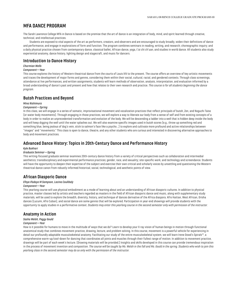# <span id="page-10-0"></span>**MFA DANCE PROGRAM**

The Sarah Lawrence College MFA in Dance is based on the premise that the art of dance is an integration of body, mind, and spirit learned through creative, technical, and intellectual practices.

Students are exposed to vital aspects of the art as performers, creators, and observers and are encouraged to study broadly, widen their definitions of dance and performance, and engage in explorations of form and function. The program combines seminars in reading, writing, and research; choreographic inquiry; and a daily physical practice chosen from contemporary dance, classical ballet, African dance, yoga, t'ai chi ch'uan, and studies in world dance. All students also study experiential anatomy, dance history, lighting design and stagecraft, and music for dancers.

## **Introduction to Dance History**

# *Charmian Wells*

## *Component—Year*

This course explores the history of Western theatrical dance from the courts of Louis XIV to the present. The course offers an overview of key artistic movements and traces the development of major forms and genres, considering them within their social, cultural, racial, and gendered contexts. Through class screenings, attendance at live performances, and written assignments, students will learn methods of observation, analysis, interpretation, and evaluation informed by a broad understanding of dance's past and present and how that relates to their own research and practice. *This course is for all students beginning the dance program.*

## **Butoh Practices and Beyond**

#### *Mina Nishimura*

## *Component—Spring*

In this class, we will engage in a series of somatic, improvisational movement and vocalization practices that reflect principals of butoh, Zen, and Noguchi Taiso (or water body movements). Through engaging in those practices, we will explore a way to liberate our body from a sense of self and from existing concepts of a body in order to realize an unprecedented transformation and evolution of the body. We will be descending a ladder into a well that is hidden deep inside the body and will keep digging the well until the water splashes out. We will also examine specific images used in butoh scores (e.g., throw up something red and something blue, being jealous of dog's vein, stick to salmon's face like a psycho…) to explore and cultivate more profound and active relationships between "images" and "movements." This class is open to dance, theatre, and any other students who are curious and interested in discovering alternative approaches to body and movement practices.

## **Advanced Dance History: Topics in 20th-Century Dance and Performance History**

#### *Kyle Bukhari*

#### *Graduate Seminar—Spring*

This writing-focused graduate seminar examines 20th-century dance history from a variety of critical perspectives such as collaboration and intermedial aesthetics; transdisciplinary and experimental performance practices; gender, race, and sexuality; site-specific work; and technology and screendance. Students will have the opportunity to deepen their expertise of the subject and exercise their own critical and scholarly voices by unsettling and questioning the Western theatrical dance canon from robustly informed historical, social, technological, and aesthetic points of view.

## **African Diasporic Dance**

## *Efeya Ifadayo M Sampson, Lacina Coulibaly*

#### *Component—Year*

This yearlong course will use physical embodiment as a mode of learning about and an understanding of African diasporic cultures. In addition to physical practice, master classes led by artists and teachers regarded as masters in the field of African diasporic dance and music, along with supplementary study materials, will be used to explore the breadth, diversity, history, and technique of dances derivative of the Africa diaspora. Afro Haitian, West African, Orisha dances (Lucumi, Afro Cuban), and social dance are some genres that will be explored. Participation in year-end showings will provide students with the opportunity to apply studies in a performative context. *Students may enter this yearlong course in the second semester only with permission of the instructor.*

## **Anatomy in Action**

## *Sasha Welsh, Peggy Gould*

#### *Component—Year*

How is it possible for humans to move in the multitude of ways that we do? Learn to develop your X-ray vision of human beings in motion through functional anatomical study that combines movement practice, drawing, lecture, and problem solving. In this course, movement is a powerful vehicle for experiencing in detail our profoundly adaptable musculoskeletal anatomy. Facilitating our study of the entire musculoskeletal system, we will learn Irene Dowd's Spirals™, a comprehensive warm-up/cool-down for dancing that coordinates all joints and muscles through their fullest range of motion. In addition to movement practice, drawings will be part of each week's lecture. (Drawing materials will be provided.) Insights and skills developed in this course can provide tremendous inspiration in the process of movement invention and composition. *The course will be taught by Ms. Welsh in the fall and Ms. Gould in the spring. Students who wish to join this yearlong class in the second semester may do so only with the permission of the instructor.*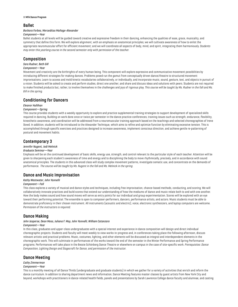#### 11 **MFA Dance Program**

## **Ballet**

#### *Barbara Forbes, Merceditas Mañago-Alexander*

#### *Component—Year*

Ballet students at all levels will be guided toward creative and expressive freedom in their dancing, enhancing the qualities of ease, grace, musicality, and symmetry that define this form. We will explore alignment, with an emphasis on anatomical principles; we will cultivate awareness of how to enlist the appropriate neuromuscular effort for efficient movement; and we will coordinate all aspects of body, mind, and spirit, integrating them harmoniously. *Students may enter this yearlong course in the second semester only with permission of the teacher.*

## **Composition**

## *Sara Rudner, Beth Gill*

## *Component—Year*

Movement and creativity are the birthrights of every human being. This component will explore expressive and communicative movement possibilities by introducing different strategies for making dances. Problems posed run the gamut from conceptually driven dance/theatre to structured movement improvisations. Learn to access and mold kinetic vocabularies collaboratively, or individually, and incorporate music, sound, gesture, text, and objects in pursuit of a vision. Students will be asked to create and perform studies, direct one another, and share and discuss ideas and solutions with peers. Students are not required to make finished products but, rather, to involve themselves in the challenges and joys of rigorous play. *This course will be taught by Ms. Rudner in the fall and Ms. Gill in the spring.*

## **Conditioning for Dancers**

#### *Eleanor Hullihan*

#### *Component—Spring*

This course provides students with a weekly opportunity to explore and practice supplemental training strategies to support development of specialized skills required in dancing. Building on work done once or twice per semester in the dance practice conferences, training issues such as strength, endurance, flexibility, kinesthetic awareness, and coordination will be addressed from a neuromuscular training approach based on the teachings and selected choreographies of Irene Dowd. In addition, students will be introduced to the Alexander Technique, which aims to refine and optimize function by eliminating excessive tension. This is accomplished through specific exercises and practices designed to increase awareness, implement conscious direction, and achieve gentle re-patterning of postural and movement habits.

## **Contemporary 3**

## *Jennifer Nugent, Jodi Melnick*

#### *Graduate Seminar—Year*

Emphasis will be on the continued development of basic skills, energy use, strength, and control relevant to the particular style of each teacher. Attention will be given to sharpening each student's awareness of time and energy and to disciplining the body to move rhythmically, precisely, and in accordance with sound anatomical principles. The students in this advanced class will study complex movement patterns, investigate somatic use, and concentrate on the demands of performance. *The course will be taught by Ms. Nugent in the fall and Ms. Melnick in the spring.*

## **Dance and Music Improvisation**

#### *Kathy Westwater, John Yannelli*

#### *Component—Fall*

This class explores a variety of musical and dance styles and techniques, including free improvisation, chance-based methods, conducting, and scoring. We will collaboratively innovate practices and build scores that extend our understanding of how the mediums of dance and music relate both to and with one another. How the body makes sound and how sound moves will serve as entry points for our individual and group experimentation. Scores will be explored with an eye toward their performing potential. The ensemble is open to composer-performers, dancers, performance artists, and actors. Music students must be able to demonstrate proficiency in their chosen instrument. All instruments (acoustic and electric), voice, electronic synthesizers, and laptop computers are welcome. *Permission of the instructors is required.*

## **Dance Making**

# *John Jasperse, Dean Moss, Juliana F. May, John Yannelli, William Catanzaro*

## *Component—Year*

In this class, graduates and upper-class undergraduates with a special interest and experience in dance composition will design and direct individual choreographic projects. Students and faculty will meet weekly to view works-in-progress and, in conferences taking place the following afternoon, discuss relevant artistic and practical problems. Music, costumes, lighting, and other elements will be discussed as integral and interdependent elements in the choreographic work. This will culminate in performances of the works toward the end of the semester in the Winter Performance and Spring Performance programs. Performances will take place in the Bessie Schönberg Dance Theatre or elsewhere on campus in the case of site-specific work. *Prerequisites: Dance Composition, Lighting Design and Stagecraft for Dance, and permission of the instructor.*

# **Dance Meeting**

## *Cathy Zimmerman*

## *Component—Year*

This is a monthly meeting of all Dance Thirds (undergraduate and graduate students) in which we gather for a variety of activities that enrich and inform the dance curriculum. In addition to sharing department news and information, Dance Meeting features master classes by guest artists from New York City and beyond, workshops with practitioners in dance-related health fields, panels and presentations by Sarah Lawrence College dance faculty and alumnae, and casting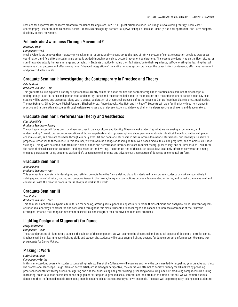sessions for departmental concerts created by the Dance Making class. In 2017-18, guest artists included Cori Olinghouse/clowning therapy; Dean Moss/ choreography; Eleanor Hullihan/dancers' health; Omari Mizrahi/voguing; Nathara Bailey/workshop on Inclusion, Identity, and Anti-oppression; and Petra Kuppers/ disability culture movement.

## **Feldenkrais: Awareness Through Movement®**

## *Barbara Forbes*

## *Component—Fall*

Moshe Feldenkrais believed that rigidity—physical, mental, or emotional—is contrary to the laws of life. His system of somatic education develops awareness, coordination, and flexibility as students are verbally guided through precisely structured movement explorations. The lessons are done lying on the floor, sitting, or standing and gradually increase in range and complexity. Students practice bringing their full attention to their experience, self-generating the learning that will release habitual patterns and offer new options. Enhanced integration of the entire nervous system cultivates the capacity for spontaneous, effortless movement and powerful action in life.

## **Graduate Seminar I: Investigating the Contemporary in Practice and Theory**

## *Kyle Bukhari*

#### *Graduate Seminar—Fall*

This graduate course explores a variety of approaches currently evident in dance studies and contemporary dance practice and examines their conceptual underpinnings, such as: dance and gender, race, and identity; dance and the intermedial; dance in the museum; and the embodiment of dance's past. Key case studies will be viewed and discussed, along with a critical exploration of theoretical proposals of authors such as Giorgio Agamben, Claire Bishop, Judith Butler, Thomas DeFrantz, Gilles Deleuze, Michel Foucault, Elizabeth Grosz, Andre Lepecki, Alva Noë, and Irit Rogoff. Students will gain familiarity with current trends in practice and in theoretical discourse through written exercises and oral presentations and develop their critical perspective as thinkers and dance makers.

## **Graduate Seminar I: Performance Theory and Aesthetics**

#### *Charmian Wells*

## *Graduate Seminar—Spring*

The spring semester will focus on critical perspectives in dance, culture, and identity. When we look at dancing, what are we seeing, experiencing, and understanding? How do current representations of dance perpetuate or disrupt assumptions about personal and social identity? Embedded notions of gender, economic class, and race are threaded through our daily lives. Art and popular culture sometimes reinforce dominant cultural ideas, but can they also serve to propose alternatives to those ideas? In this seminar, we will examine a range of dancing on film, Web-based media, television programs, and commercials. These viewings—along with selected texts from the fields of dance and performance, literary criticism, feminist theory, queer theory, and cultural studies—will form the basis of class discussions, exercises, readings, research, and writing. The ultimate aim of this course is to cultivate a richly informed conversation among engaged participants, using academic work and life experience to illuminate and advance our appreciation of dance as an elemental art form.

## **Graduate Seminar II**

#### *John Jasperse*

#### *Graduate Seminar—Year*

This seminar is a laboratory for developing and refining projects from the Dance Making class. It is designed to encourage students to work collaboratively in solving questions of physical, spatial, and temporal issues in their work, to explore connections between dance and other forms, and to make them aware of and conversant with the creative process that is always at work in the world.

## **Graduate Seminar III**

#### *Sara Rudner*

#### *Graduate Seminar—Year*

This seminar emphasizes a dynamic foundation for dancing, offering participants an opportunity to refine their technique and analytical skills. Relevant aspects of functional anatomy are presented and considered throughout this class. Students are encouraged and coached to increase awareness of their current strategies, broaden their range of movement possibilities, and integrate their creative and technical practices.

## **Lighting Design and Stagecraft for Dance**

## *Kathy Kaufmann*

## *Component—Year*

The art and practice of illuminating dance is the subject of this component. We will examine the theoretical and practical aspects of designing lights for dance. Emphasis will be on learning basic lighting skills and stagecraft. Students will create original lighting designs for dance program performances. *This class is a prerequisite for Dance Making.*

## **Making It Work**

#### *Cathy Zimmerman*

#### *Component—Spring*

In this semester-long course for students completing their studies at the College, we will examine and hone the tools needed for propelling your creative work into the professional landscape. Taught from an active artist/artist manager perspective, the course will attempt to achieve fluency for all makers by providing practical encounters with key areas of budgeting and finance, fundraising and grant writing, presenting and touring, and self-producing components (including marketing, press, audience development and engagement strategies, digital and social interactions, and production administration). We will explore various dance and theatre financial models, from being an independent solo artist to starting your own ensemble. The class will be participatory, asking each student to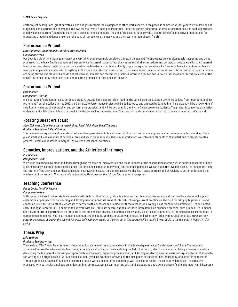#### 13 **MFA Dance Program**

craft project descriptions, grant narratives, and budgets for their thesis projects or other works shown in the previous semester or first year. We will develop and stage mock applications and peer/panel reviews for real-world funding opportunities, undertake group budgeting for productions that occur in each department, and develop concurrent fundraising plans and crowdsourcing campaigns. The aim of this course is to provide a greater level of competitive preparedness for graduating theatre and dance makers on the cusp of representing themselves and their work in their chosen field(s).

## **Performance Project**

## *Kota Yamazaki, Diane Madden, Barbara Bray Ketchum*

## *Component—Fall*

Our body is a black hole that equally absorbs everything, even seemingly unrelated things. A thousand different events are simultaneously happening and being processed in the body. Subtle nuances and expressions of external spaces affect the way we stand, skin sensations and perceptions evoke kaleidoscopic internal landscapes, and abstracted information delivered through feelers on our feet suddenly trigger unexpected emotions. Performance Project examines our body's new beginning and encounter with everything in the black hole-like space where both the conscious and unconscious mind and internal and external experiences are being stirred. The class will include a short warmup, somatic and movement practices informed by butoh and various other movement forms, followed at the end of the semester by rehearsals that lead to a fully produced performance of the work.

## **Performance Project**

## *Sara Rudner*

#### *Component—Spring*

In celebration of Sara Rudner's extraordinary creative output, her visionary role in leading the dance program at Sarah Lawrence College from 1999-2016, and her retirement from the College in May 2019, the Spring 2019 Performance Project will be dedicated to and directed by Sara Rudner. This project will be a reworking of Sara Rudner's dance, choreographic, and performance practices and will be designed for, and with, Sarah Lawrence students. The project is conceived as a series of dances and will include highly structured activities, as well as improvisations. The creativity and commitment of all participants is required. Let's dance!

## **Rotating Guest Artist Lab**

## *Abby Zbikowski, Dean Moss, Netta Yerushalmy, Sarah Michelson, David Thomson*

## *Graduate Seminar—Fall and Spring*

This course is an experimental laboratory that aims to expose students to a diverse set of current voices and approaches to contemporary dance making. Each guest artist will lead a module of between three and seven class sessions. These mini-workshops will introduce students to that artist and to his/her creative process. Guests will represent emergent, as well as established, practices.

# **Somatics, Improvisations, and the Athletics of Intimacy**

#### *K. J. Holmes*

#### *Component—Year*

We will be exploring movement and dance through the research of improvisation and the influences of the experiential anatomy of the somatic research of Body-Mind Centering®, contact improvisation, and structures and scores for improvising and composing dances. We will make the invisible visible, learning more about the interior of the body and our ideas, and explore pathways to space, time, and place as we also learn basic anatomy and physiology to better understand the mechanics of movement. *The course will be taught by Ms. Nugent in the fall and Ms. Holmes in the spring.*

## **Teaching Conference**

## *Peggy Gould, Jennifer Nugent*

#### *Component—Year*

In this practice-based course, students develop skills to bring their artistry into a teaching setting. Readings, discussion, and short written pieces will support exploration of perspectives on teaching and development of individual areas of interest. Following current practices in the field for bringing together arts and education, we will study methods for artists to partner with educators and implement those methods in a weekly class for children enrolled in SLC's acclaimed Early Childhood Center (ECC). In addition to our work with ECC, there are several options for those interested in an expanded practical curriculum. SLC's Campbell Sports Center offers opportunities for students to initiate and lead physical education classes; and SLC's Office of Community Partnerships can assist students in pursuing teaching initiatives in surrounding communities, including Yonkers, greater Westchester, and other New York City metropolitan areas. *Students may enter this yearlong course in the second semester only with permission of the instructor. The course will be taught by Ms. Gould in the fall and Ms. Nugent in the spring.*

## **Thesis Prep**

#### *Kyle Bukhari*

#### *Graduate Seminar—Year*

The yearlong MFA Thesis Prep seminar is the academic capstone of the master's study in the dance department at Sarah Lawrence College. The course is structured to take the advanced student through the stages of writing a thesis: defining the field of research, identifying and articulating a research question, developing the bibliography, choosing an appropriate methodology, organizing the material, and developing strategies of analysis and argumentation that lead to the writing of an original thesis. Various modes of inquiry will be examined, drawing on the disciplines of dance studies, philosophy, and practice as research. Through group discussions of published research, student work, and one-on-one meetings with the course leader, the seminar will focus on investigative processes with particular emphasis on understanding, contextualizing, experimenting with, and articulating one's own process of scholarly inquiry and discourse.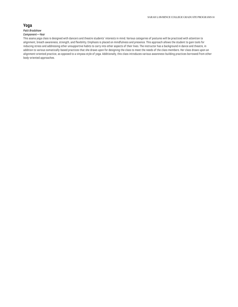# **Yoga**

## *Patti Bradshaw Component—Year*

This asana yoga class is designed with dancers and theatre students' interests in mind. Various categories of postures will be practiced with attention to alignment, breath awareness, strength, and flexibility. Emphasis is placed on mindfulness and presence. This approach allows the student to gain tools for reducing stress and addressing other unsupportive habits to carry into other aspects of their lives. The instructor has a background in dance and theatre, in addition to various somatically-based practices that she draws upon for designing the class to meet the needs of the class members. Her class draws upon an alignment-oriented practice, as opposed to a vinyasa style of yoga. Additionally, this class introduces various awareness-building practices borrowed from other body-oriented approaches.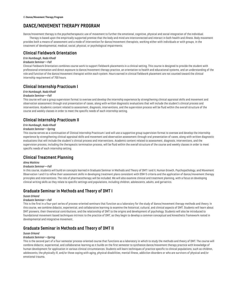# <span id="page-15-0"></span>**DANCE/MOVEMENT THERAPY PROGRAM**

Dance/movement therapy is the psychotherapeutic use of movement to further the emotional, cognitive, physical and social integration of the individual. Therapy is based upon the empirically supported premise that the body and mind are interconnected and interact in both health and illness. Body movement provides both a means of assessment and a mode of intervention for dance/movement therapists, working either with individuals or with groups, in the treatment of developmental, medical, social, physical, or psychological impairments.

# **Clinical Fieldwork Orientation**

## *Erin Humbaugh, Nada Khodl*

## *Graduate Seminar—Fall*

Clinical Fieldwork Orientation combines course work to support fieldwork placements in a clinical setting. This course is designed to provide the student with professional orientation and direct exposure to dance/movement therapy practice, an orientation to health and educational systems, and an understanding of the role and function of the dance/movement therapist within each system. Hours earned in clinical fieldwork placement are not counted toward the clinical internship requirement of 700 hours.

# **Clinical Internship Practicum I**

## *Erin Humbaugh, Nada Khodl*

## *Graduate Seminar—Fall*

This course will use a group supervision format to oversee and develop the internship experience by strengthening clinical appraisal skills and movement and observation assessment through oral presentation of cases, along with written diagnostic evaluations that will include the student's clinical process and interventions. Academic content related to assessment, diagnosis, interventions, and the supervision process will be fluid within the overall structure of the course and weekly classes in order to meet the specific needs of each internship setting.

# **Clinical Internship Practicum II**

#### *Erin Humbaugh, Nada Khodl*

#### *Graduate Seminar—Spring*

This course serves as a continuation of Clinical Internship Practicum I and will use a supportive group supervision format to oversee and develop the internship experience by strengthening clinical appraisal skills and movement and observation assessment through oral presentation of cases, along with written diagnostic evaluations that will include the student's clinical process and interventions. Academic content related to assessment, diagnosis, interventions, and the supervision process, including the therapeutic termination process, will be fluid within the overall structure of the course and weekly classes in order to meet specific needs of each internship setting.

# **Clinical Treatment Planning**

#### *Alma Watkins*

#### *Graduate Seminar—Fall*

In this course, students will build on concepts learned in Graduate Seminar in Methods and Theory of DMT I and II, Human Growth, Psychopathology, and Movement Observation I and II to refine their assessment skills in developing treatment plans consistent with DSM-5 criteria and the application of dance/movement therapy principles and interventions. The role of pharmacotherapy will be included. We will also examine clinical and treatment planning, with a focus on developing clinical writing skills as they relate to specific settings and populations, including children, adolescents, adults, and geriatrics.

## **Graduate Seminar in Methods and Theory of DMT I**

#### *Susan Orkand*

#### *Graduate Seminar—Fall*

This is the first in a four-part series of process-oriented seminars that function as a laboratory for the study of dance/movement therapy methods and theory. In this course, we combine didactic, experiential, and collaborative learning to examine the historical, cultural, and clinical aspects of DMT. Students will learn about DMT pioneers, their theoretical contributions, and the relationship of DMT to the origins and development of psychology. Students will also be introduced to foundational movement-based techniques intrinsic to the practice of DMT, as they begin to develop a common conceptual and kinesthetic framework rooted in developmental and integrative movement.

# **Graduate Seminar in Methods and Theory of DMT II**

#### *Susan Orkand*

#### *Graduate Seminar—Spring*

This is the second part of a four-semester process-oriented course that functions as a laboratory in which to study the methods and theory of DMT. The course will combine didactic, experiential, and collaborative learning as it builds on the first semester to synthesize dance/movement therapy practice with knowledge of human development for application in various clinical circumstances. Students will learn techniques of practice specific to clinical populations, such as children, adolescents, the physically ill, and/or those coping with aging, physical disabilities, mental illness, addiction disorders or who are survivors of physical and/or emotional trauma.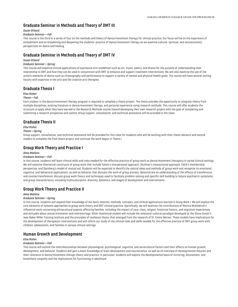# **Graduate Seminar in Methods and Theory of DMT III**

## *Susan Orkand*

## *Graduate Seminar—Fall*

This course is the third in a series of four on the methods and theory of dance/movement therapy for clinical practice. Our focus will be on the experience of embodiment and on broadening and deepening the students' practice of dance/movement therapy as we examine cultural, spiritual, and socioeconomic perspectives on dance and healing.

# **Graduate Seminar in Methods and Theory of DMT IV**

#### *Susan Orkand*

#### *Graduate Seminar—Spring*

This course will examine clinical applications of expressive arts modalities such as art, music, poetry, and drama for the purpose of understanding their relationship to DMT and how they can be used in conjunction with DMT to enhance and support treatment interventions. We will also examine the use of the artistic elements of dance such as choreography and performance to support a variety of mental and physical health goals. The course will have several visiting faculty with expertise in the arts and the creative arts therapies.

## **Graduate Thesis I**

## *Elise Risher*

#### *Thesis—Fall*

Each student in the dance/movement therapy program is required to complete a thesis project. The thesis provides the opportunity to integrate theory from multiple disciplines, existing literature in dance/movement therapy, and personal experience using research methods. This course will offer students the structure to apply what they have learned in the Research Methods course toward developing their own research project with the goal of completing and submitting a research prospectus and outline. Group support, consultation, and technical assistance will be provided in the class.

## **Graduate Thesis II**

## *Elise Risher*

#### *Thesis—Spring*

Group support, consultation, and technical assistance will be provided for this class for students who will be working with their thesis advisors and second readers to complete the final thesis project and continue the work begun in Thesis I.

## **Group Work Theory and Practice I**

## *Alma Watkins*

## *Graduate Seminar—Fall*

In this course, students will learn clinical skills and roles needed for the effective practice of group work as dance/movement therapists in varied clinical settings. We will examine theoretical constructs of group work that include Yalom's interpersonal approach, Shulman's interactional approach, Falck's membership perspective, and Steinberg's model of mutual aid. Students will be expected to identify the central ideas and methods of group work and recognize its emotional, cognitive, and behavioral applications, as well as behavior that disrupts the work of group process; demonstrate an understanding of the effects of transference and countertransference; discuss group work theory and techniques used to facilitate problem-solving and specific skill building to reduce psychiatric symptoms; and group characteristics, including multiculturalism, diversity, dynamics, and stages of development and interventions.

# **Group Work Theory and Practice II**

#### *Alma Watkins*

## *Graduate Seminar—Spring*

In this course, students will expand their knowledge of the basic theories, methods, concepts, and clinical applications learned in Group Work I. We will explore the core elements of systems approaches to group work theory and DMT clinical practice. Specifically, we will examine the contributions of Monica McGoldrick's influential work concerning ethnocultural aspects affecting families, including the impact of race, class, religion, historical factors, and migration experiences and attitudes about sexual orientation and intermarriage. Other theoretical models will include the relational-cultural paradigm developed at the Stone Center's Jean Baker Miller Training Institute and the principles of resilience theory that emerged from the research of Dr. Emmy Werner. These models have implications for the development of therapeutic interventions and will inform our study of the clinical roles and skills needed for the effective practice of DMT group work with children, adolescents, and families in various clinical settings.

## **Human Growth and Development**

#### *Elise Risher*

#### *Graduate Seminar—Fall*

This course will outline the interrelationships between physiological, psychological, cognitive, and sociocultural factors and their effects on human growth, development, and behavior. Students will gain a basic knowledge of brain development and neuroscience, as well as an overview of developmental theories and their relevance to dance/movement therapy theory and practice. In particular, students will explore the developmental basis of mirroring, attunement, and kinesthetic empathy and the implications for functioning in adulthood.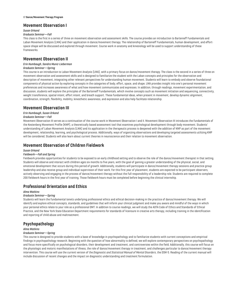## **Movement Observation I**

## *Susan Orkand*

#### *Graduate Seminar—Fall*

This class is the first in a series of three on movement observation and assessment skills. The course provides an introduction to Bartenieff Fundamentals and Laban Movement Analysis (LMA) and their application in dance/movement therapy. The relationship of Bartenieff Fundamentals, human development, and effortspace-shape will be discussed and explored through movement. Course work in anatomy and kinesiology will be used to support understanding of these frameworks.

## **Movement Observation II**

## *Erin Humbaugh, Sandra Muniz-Lieberman*

## *Graduate Seminar—Spring*

This course is an introduction to Laban Movement Analysis (LMA), with a primary focus on dance/movement therapy. The class is the second in a series of three on movement observation and assessment skills and is designed to familiarize the student with the Laban concepts and principles for the observation and description of movement, integrating other relevant perspectives for understanding human movement. Students will learn to embody and observe foundational components of physical action by exploring concepts in the categories of body, effort, space, and shape. LMA provides insight into one's personal movement preferences and increases awareness of what and how movement communicates and expresses. In addition, through readings, movement experimentation, and discussion, students will explore the principles of the Bartenieff Fundamentals, which involve concepts such as movement initiation and sequencing, connectivity, weight transference, spatial intent, effort intent, and breath support. These fundamental ideas, when present in movement, develop dynamic alignment, coordination, strength, flexibility, mobility, kinesthetic awareness, and expression and also help facilitate relationship.

## **Movement Observation III**

## *Erin Humbaugh, Susan Orkand*

#### *Graduate Seminar—Fall*

Movement Observation III serves as a continuation of the course work in Movement Observation I and II. Movement Observation III introduces the fundamentals of the Kestenberg Movement Profile (KMP), a theoretically based assessment tool that examines psychological development through body movement. Students' understanding of Laban Movement Analysis (LMA) and its application in the therapeutic process is deepened with the addition of KMP as part of the movement development, relationship, learning, and psychological process. Additionally, ways of organizing observations and developing targeted assessments utilizing KMP will be considered. Students will also learn about current theories in neuroscience and their relation to movement observation.

## **Movement Observation of Children Fieldwork**

## *Susan Orkand*

#### *Fieldwork—Fall and Spring*

Fieldwork provides opportunities for students to be exposed to an early childhood setting and to observe the role of the dance/movement therapist in that setting. Students will observe and interact with children ages six months to five years, with the goal of gaining a greater understanding of the physical, social, and emotional development that occurs during this period of growth. Additionally, students will participate in dance/movement therapy sessions and practice group leadership and also receive group and individual supervision of their work. For this first year of placement, students are expected to be participant observers, actively observing and engaging in the process of dance/movement therapy without the full responsibility of a leadership role. Students are required to complete 200 fieldwork hours in the first year of training. Those fieldwork hours must be completed before beginning the clinical internship.

# **Professional Orientation and Ethics**

#### *Alma Watkins*

## *Graduate Seminar—Spring*

Students will learn the fundamental tenets underlying professional ethics and ethical decision-making in the practice of dance/movement therapy. We will identify and explore ethical concepts, standards, and guidelines that will inform your clinical judgment and make you aware and mindful of the ways in which your personal ethics relate to your role as a professional DMT. In addition to course readings, we will study the ADTA Code of Ethics and Standards of Ethical Practice, and the New York State Education Department requirements for standards of licensure in creative arts therapy, including training in the identification and reporting of child abuse and maltreatment.

## **Psychopathology**

#### *Alma Watkins*

#### *Graduate Seminar—Spring*

This course is designed to provide students with a base of knowledge in psychopathology and to familiarize students with current conceptions and empirical findings in psychopathology research. Beginning with the question of how abnormality is defined, we will explore contemporary perspectives on psychopathology and focus more specifically on psychological disorders, their development and treatment, and controversies within the field. Additionally, this course will focus on the physiologic and motoric manifestations of illness, the role of dance/movement therapy in treatment, and challenges particular to dance/movement therapy intervention. This course will use the current version of the *Diagnostic and Statistical Manual of Mental Disorders*, the DSM-5. Reading of the current manual will include discussion of recent changes and the impact on diagnostic understanding and treatment formulation.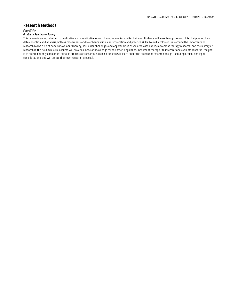## **Research Methods**

## *Elise Risher*

## *Graduate Seminar—Spring*

This course is an introduction to qualitative and quantitative research methodologies and techniques. Students will learn to apply research techniques such as data collection and analysis, both as researchers and to enhance clinical interpretation and practice skills. We will explore issues around the importance of research to the field of dance/movement therapy, particular challenges and opportunities associated with dance/movement therapy research, and the history of research in the field. While this course will provide a base of knowledge for the practicing dance/movement therapist to interpret and evaluate research, the goal is to create not only consumers but also creators of research. As such, students will learn about the process of research design, including ethical and legal considerations, and will create their own research proposal.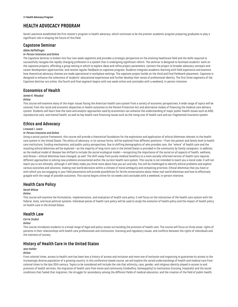# <span id="page-19-0"></span>**HEALTH ADVOCACY PROGRAM**

Sarah Lawrence established the first master's program in health advocacy, which continues to be the premier academic program preparing graduates to play a significant role in shaping the future of this field.

## **Capstone Seminar**

#### *Abbie Heffelfinger*

## *In-Person Intensive and Online*

The Capstone Seminar is broken into four two-week segments and provides a strategic perspective on the evolving healthcare field and the skills required to successfully navigate the rapidly changing profession in a system that is undergoing significant reform. The seminar is designed to facilitate students' work on the capstone projects, affording a group setting in which to explore ideas and refine project parameters, connect the project to broader advocacy concepts and career development opportunities, and receive regular feedback on capstone progress. Students integrate academic learning with field experience and examine how theoretical advocacy themes are made operational in workplace settings. The capstone project builds on the third and final fieldwork placement. Capstone is designed to enhance the coherence of students' educational experiences and further develop their sense of professional identity. The first three segments of the Capstone Seminar are online; the fourth and final segment begins with one week online and concludes with a weekend, in-person intensive.

# **Economics of Health**

## *Jamee K. Moudud*

#### *Online*

This course will examine many of the major issues facing the American health care system from a variety of economic perspectives. A wide range of topics will be covered, from the racial and economic disparities in health outcomes to the Patient Protection Act and alternative modes of financing the medical care delivery system. Students will learn how the tools and analytic approaches used by economists can enhance the understanding of major public-health issues such as AIDS, reproductive care, and mental health, as well as key health care financing issues such as the rising cost of health care and our fragmented insurance system.

# **Ethics and Advocacy**

#### *Linwood J. Lewis*

#### *In-Person Intensive and Online*

Using a social-justice framework, this course will provide a theoretical foundation for the exploration and application of ethical dilemmas relevant to the health care system in the United States. The ethics of advocacy, in its various forms, will be explored from different positions—from the patient and family level to health care institutions, funding mechanisms, and public-policy perspectives. Due to shifting demographics of who provides care, the "where" of health care and the resulting ethical dilemmas will be explored—as the majority of long-term care in the United States is provided in the community by family caregivers. In addition, as the medical model of disease has shifted to include the social-ecological model—recognizing the importance of the social on all aspects of health, wellness, and illness—ethical dilemmas have changed, as well. The shift away from purely medical bioethics to a more socially informed version of health care requires different approaches to solving new problems encountered within the current health care system. This course is not intended to teach you a moral code. It will not teach you to act ethically, although it will likely make you think more about how you act and why. You will be challenged to identify ethical problems and explore various outcomes and solutions, making real-world decisions within a climate of moral ambiguity and competing priorities. Ethical dilemmas that you have or with which you are engaging in your field placements will provide possibilities for fertile conversations about these real-world dilemmas and how to effectively grapple with the range of possible outcomes. This course begins online for six weeks and concludes with a weekend, in-person intensive.

## **Health Care Policy**

#### *Sarah Wilcox*

#### *Online*

This course will examine the formulation, implementation, and evaluation of health care policy. It will focus on the interaction of the health care system with the federal, state, and local political systems. Individual pieces of health care policy will be used to study the evolution of health policy and the impact of health policy on health care in the United States.

## **Health Law**

#### *Carrie Zoubul*

#### *Online*

This course introduces students to a broad range of legal and policy issues surrounding the provision of health care. The course will focus on three areas: rights of patients in their relationships with health care professionals and institutions, licensing and regulatory issues, and conflicts between the rights of individuals and the interests of society.

# **History of Health Care in the United States**

## *Jean Kahler*

## *Online*

From colonial times, access to health care has been less a history of access and inclusion and more one of exclusion and organizing to guarantee its access to the increasingly diverse population of a growing country. In this conference-based course, we will explore the varied understandings of health and medical care from colonial times to the late 20th century. Topics to be considered will include the role that ethnicity, race, gender, and religious identity played in access to and provision of health services; the migration of health care from home and community (midwifery, homeopathy) to institutions (nursing, hospitals) and the social conditions that fueled that migration; the struggle for ascendancy among the different fields of medical education; and the creation of the field of public health,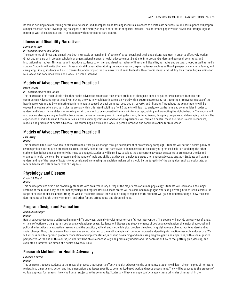its role in defining and controlling outbreaks of disease, and its impact on addressing inequities in access to health care services. Course participants will prepare a major research paper, investigating an aspect of the history of health care that is of special interest. The conference paper will be developed through regular meetings with the instructor and in conjunction with other course participants.

## **Illness and Disability Narratives**

## *Mario de la Cruz*

#### *In-Person Intensive and Online*

The experience of illness and disability is both intimately personal and reflective of larger social, political, and cultural realities. In order to effectively work in direct patient care or in broader scholarly or organizational arenas, a health advocate must be able to interpret and understand personal, communal, and institutional narratives. This course will introduce students to written and visual narratives of illness and disability, narrative and cultural theory, as well as media studies. Students will write their own illness or disability narratives during the course session, exploring issues such as selfhood, perspective, memory, family, and caregiving. Finally, students will elicit, transcribe, and interpret the oral narrative of an individual with a chronic illness or disability. This course begins online for four weeks and concludes with a one-week in-person intensive.

# **Models of Advocacy: Theory and Practice I**

#### *Sarah Wilcox*

#### *In-Person Intensive and Online*

This course explores the multiple roles that health advocates assume as they create productive change on behalf of patients/consumers, families, and communities. Advocacy is practiced by improving the way in which health care is delivered within existing systems; by restructuring or reinventing areas of the health care system; and by eliminating barriers to health caused by environmental destruction, poverty, and illiteracy. Throughout the year, students will be exposed to leaders who practice in diverse arenas within this interdisciplinary field. Students will learn to analyze organizations and communities in order to understand hierarchies and decision-making within them and to be exposed to frameworks for conceptualizing and promoting the right to health. The course will also explore strategies to give health advocates and consumers more power in making decisions, defining issues, designing programs, and developing policies. The experiences of individuals and communities, as well as how systems respond to those experiences, will remain a central focus as students explore concepts, models, and practices of health advocacy. This course begins with a one-week in-person intensive and continues online for four weeks.

## **Models of Advocacy: Theory and Practice II**

## *Lois Uttley*

#### *Online*

This course will focus on how health advocates can effect policy change through development of an advocacy campaign. Students will define a health policy or system problem, formulate a proposed solution, identify needed data and narratives to demonstrate the need for your proposed solution, and map the other stakeholders (allies and opponents) who must be engaged. Students will learn how to select the appropriate advocacy strategies to bring about the desired changes in health policy and/or systems and the range of tools and skills that they can employ to pursue their chosen advocacy strategy. Students will gain an understanding of the range of factors to be considered in choosing the decision makers who should be the target(s) of the campaign, such as local, state, or federal health officials or executives of hospitals.

## **Physiology and Disease**

## *Frederick Nagel*

## *Online*

This course provides first-time physiology students with an introductory survey of the major areas of human physiology. Students will learn about the major systems of the human body; the normal physiology and representative disease states will be examined to highlight what can go wrong. Students will explore the range of causes of disease and infirmity, as well as the barriers to an individual's ability to regain health. Students will gain an understanding of how the social determinants of health, the environment, and other factors affect acute and chronic illness.

# **Program Design and Evaluation**

#### *Abbie Heffelfinger*

#### *Online*

Health advocacy issues are addressed in many different ways, typically involving some type of direct intervention. This course will provide an overview of, and a critical reflection on, the program design and evaluation process. Students will discuss and study elements of design and evaluation, the major theoretical and political orientations to evaluation research, and the practical, ethical, and methodological problems involved in applying research methods to understanding social change. Thus, this course will also serve as an introduction to the methodologies of community-based and participatory action research and practice. We will discuss how to approach program conception and implementation, including developing and measuring program goals and objectives, with a social-justice perspective. At the end of this course, students will be able to conceptually and practically understand the contours of how to thoughtfully plan, develop, and evaluate an intervention aimed at a health advocacy issue.

## **Research Methods for Health Advocacy**

#### *Linwood J. Lewis*

## *Online*

This course introduces students to the research process that supports effective health advocacy in the community. Students will learn the principles of literature review, instrument construction and implementation, and issues specific to community-based work and needs assessment. They will be exposed to the process of ethical approval for research involving human subjects in the community. Students will have an opportunity to apply these principles of research in the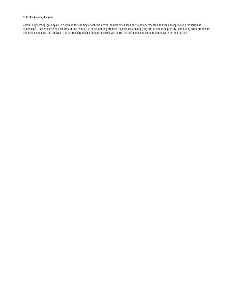## 21 **Health Advocacy Program**

community setting, gaining an in-depth understanding of context-driven, community-based participatory research and the concept of co-production of knowledge. They will develop assessment and evaluation skills, gaining practical experience and applying statistical principles. By introducing students to datacollection concepts and analysis, this course establishes foundations that will be further refined in subsequent course work in the program.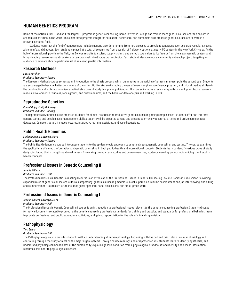# <span id="page-22-0"></span>**HUMAN GENETICS PROGRAM**

Home of the nation's first—and still the largest—program in genetic counseling, Sarah Lawrence College has trained more genetic counselors than any other academic institution in the world. This celebrated program integrates education, healthcare, and humanism as it prepares genetic counselors to work in a growing, dynamic field.

Students learn that the field of genetics now includes genetic disorders ranging from rare diseases to prevalent conditions such as cardiovascular disease, Alzheimer's, and diabetes. Each student is placed at a total of seven sites from a wealth of fieldwork options at nearly 50 centers in the New York City area. As the hub of international growth in the field, the College recruits top scientists, physicians, and genetic counselors to its faculty from the area's genetic centers and brings leading researchers and speakers to campus weekly to discuss current topics. Each student also develops a community outreach project, targeting an audience to educate about a particular set of relevant genetic information.

## **Research Methods**

*Laura Hercher*

#### *Graduate Seminar—Spring*

The Research Methods course serves as an introduction to the thesis process, which culminates in the writing of a thesis manuscript in the second year. Students are encouraged to become better consumers of the scientific literature—including the use of search engines, a reference program, and critical reading skills—in the construction of a literature review as a first step toward study design and publication. The course includes a review of qualitative and quantitative research models; development of surveys, focus groups, and questionnaires; and the basics of data analysis and working in SPSS.

## **Reproductive Genetics**

## *Komal Bajaj, Emily Goldberg*

## *Graduate Seminar—Spring*

The Reproductive Genetics course prepares students for clinical practice in reproductive genetic counseling. Using sample cases, students offer and interpret genetic testing and develop case management skills. Students will be expected to read and present peer-reviewed journal articles and utilize core genetics databases. Course structure includes lectures, interactive learning activities, and case discussions.

## **Public Health Genomics**

## *Siobhan Dolan, Lavanya Misra*

## *Graduate Seminar—Spring*

The Public Health Genomics course introduces students to the epidemiologic approach to genetic disease, genetic counseling, and testing. The course examines the applications of genetic information and genetic counseling in both public-health and international contexts. Students learn to identify various types of study design, including their strengths and weaknesses. By working through case studies and course exercises, students learn key genetic epidemiologic and publichealth concepts.

## **Professional Issues in Genetic Counseling II**

#### *Janelle Villiers*

#### *Graduate Seminar—Fall*

The Professional Issues in Genetic Counseling II course is an extension of the Professional Issues in Genetic Counseling I course. Topics include scientific writing, expanded roles of genetic counselors, cultural competency, genetic counseling models, clinical supervision, résumé development and job interviewing, and billing and reimbursement. Course structure includes guest speakers, panel discussions, and small-group work.

## **Professional Issues in Genetic Counseling I**

## *Janelle Villiers, Lavanya Misra*

## *Graduate Seminar—Fall*

The Professional Issues in Genetic Counseling I course is an introduction to professional issues relevant to the genetic counseling profession. Students discuss formative documents related to promoting the genetic counseling profession, standards for training and practice, and standards for professional behavior; learn to provide professional and public educational activities; and gain an appreciation for the role of clinical supervision.

## **Pathophysiology**

#### *Tom Evans*

#### *Graduate Seminar—Fall*

The Pathophysiology course provides students with an understanding of human physiology, beginning with the cell and principles of cellular physiology and continuing through the study of most of the major organ systems. Through course readings and oral presentations, students learn to identify, synthesize, and understand physiological mechanisms of the human body; explain a genetic condition from a physiological standpoint; and identify and access information resources pertinent to physiological diseases.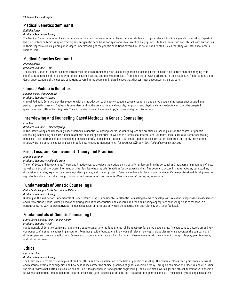#### 23 **Human Genetics Program**

# **Medical Genetics Seminar II**

## *Radhika Sawh*

## *Graduate Seminar—Spring*

The Medical Genetics Seminar II course builds upon the first-semester seminar by introducing students to topics relevant to clinical genetic counseling. Experts in the field lecture on topics ranging from significant genetic conditions and syndromes to current testing options. Students learn from and interact with authorities in their respective fields, gaining an in-depth understanding of the genetic conditions covered in the course and related issues that they will later encounter in their careers.

# **Medical Genetics Seminar I**

## *Radhika Sawh*

## *Graduate Seminar—Fall*

The Medical Genetics Seminar I course introduces students to topics relevant to clinical genetic counseling. Experts in the field lecture on topics ranging from significant genetic conditions and syndromes to current testing options. Students learn from and interact with authorities in their respective fields, gaining an indepth understanding of the genetic conditions covered in the course and related issues that they will later encounter in their careers.

# **Clinical Pediatric Genetics**

## *Michele Disco, Elaine Pereira*

## *Graduate Seminar—Spring*

Clinical Pediatric Genetics provides students with an introduction to the basic vocabulary, case scenarios, and genetic counseling issues encountered in a pediatric genetics session. Emphasis is on understanding the previous medical records, symptoms, and physical signs needed to construct the targeted questioning and differential diagnosis. The course structure includes readings, lectures, and group discussions.

# **Interviewing and Counseling-Based Methods in Genetic Counseling**

## *Erin Ash*

## *Graduate Seminar—Fall and Spring*

In the Interviewing and Counseling-Based Methods in Genetic Counseling course, students explore and practice counseling skills in the context of genetic counseling. Counseling skills are applied to genetic counseling scenarios, as well as to professional interactions. Students learn to utilize different counseling models as they relate to genetic counseling practice, identify counseling strategies that can be applied to specific patient scenarios, and apply motivational interviewing in a genetic counseling session to facilitate patient management. *This course is offered in both fall and spring semesters.*

# **Grief, Loss, and Bereavement: Theory and Practice**

## *Amanda Bergner*

## *Graduate Seminar—Fall and Spring*

The Grief, Loss, and Bereavement: Theory and Practice course provides theoretical constructs for understanding the personal and intrapersonal meanings of loss, as well as practical short-term interventions that facilitate healthy grief reactions for bereaved families. The course structure includes lectures, case studies, discussion, role-play, experiential exercises, videos, papers, and student projects. Special emphasis is placed upon the student's own professional development as a grief/adaptation counselor through increased self-awareness. *This course is offered in both fall and spring semesters.*

# **Fundamentals of Genetic Counseling II**

## *Claire Davis, Megan Truitt Cho, Janelle Villiers*

## *Graduate Seminar—Spring*

Building on the skill set of Fundamentals of Genetic Counseling I, Fundamentals of Genetic Counseling II aims to develop skills relevant to psychosocial assessment and interventions. Focus is first placed on exploring patient characteristics and concerns and then on utilizing appropriate counseling skills to respond in a patient-centered way. Course activities include discussion, small-group activities, demonstrations, and role-play with peer feedback.

# **Fundamentals of Genetic Counseling I**

## *Claire Davis, Lindsey Alico, Janelle Villiers*

#### *Graduate Seminar—Fall*

Fundamentals of Genetic Counseling I aims to introduce students to the fundamental skills necessary for genetic counseling. The course is structured around key components of a genetic counseling encounter. Readings provide foundational knowledge of relevant concepts; class discussions encourage the comparison of different perspectives and applications. Course instructors demonstrate each skill; students then engage in skill development through role-play, peer feedback, and self-assessment.

# **Ethics**

## *Laura Hercher*

## *Graduate Seminar—Spring*

The Ethics course covers the principles of medical ethics and their application in the field of genetic counseling. The course explores the significance of current and historical examples of eugenics and how past abuses affect the clinical practices of genetic medicine today. Through a combination of lecture and discussion, the class reviews hot-button issues such as abortion, "designer babies," and genetic engineering. The course also covers legal and ethical dilemmas with specific relevance to genetics, including genetic discrimination, the genetic testing of minors, and the extent of a genetic clinician's responsibility to biological relatives.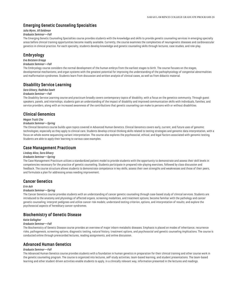## **Emerging Genetic Counseling Specialties**

## *Julia Wynn, Jill Goldman*

#### *Graduate Seminar—Fall*

The Emerging Genetic Counseling Specialties course provides students with the knowledge and skills to provide genetic counseling services in emerging specialty areas before clinical training opportunities become readily available. Currently, the course examines the complexities of neurogenetic diseases and cardiovascular genetics in clinical practice. For each specialty, students develop knowledge and genetic counseling skills through lectures, case studies, and role-play.

# **Embryology**

## *Eva Botstein Griepp*

## *Graduate Seminar—Fall*

The Embryology course considers the normal development of the human embryo from the earliest stages to birth. The course focuses on the stages, developmental mechanisms, and organ systems with the greatest potential for improving the understanding of the pathophysiology of congenital abnormalities and malformation syndromes. Students learn from discussion and written analysis of clinical cases, as well as from didactic material.

## **Disability Service Learning**

#### *Sara Gilvary, Radhika Sawh*

#### *Graduate Seminar—Fall*

The Disability Service Learning course and practicum broadly covers contemporary topics of disability, with a focus on the genetics community. Through guest speakers, panels, and internships, students gain an understanding of the impact of disability and improved communication skills with individuals, families, and service providers, along with an increased awareness of the contributions that genetic counseling can make to persons with or without disabilities.

## **Clinical Genomics**

#### *Megan Truitt Cho*

#### *Graduate Seminar—Spring*

The Clinical Genomics course builds upon topics covered in Advanced Human Genetics. Clinical Genomics covers early, current, and future uses of genomic technologies, especially as they apply to clinical care. Students develop critical thinking skills related to testing strategies and genomic data interpretation, with a focus on whole exome sequencing variant interpretation. The course also explores the psychosocial, ethical, and legal factors associated with genomic testing. Students are able to apply their learning to various case examples.

## **Case Management Practicum**

## *Lindsey Alico, Sara Gilvary*

## *Graduate Seminar—Spring*

The Case Management Practicum utilizes a standardized patient model to provide students with the opportunity to demonstrate and assess their skill levels in competencies necessary for the practice of genetic counseling. Students participate in prepared role-playing exercises, followed by class discussion and feedback. The course structure allows students to demonstrate competence in key skills, assess their own strengths and weaknesses and those of their peers, and formulate a plan for addressing areas needing improvement.

## **Cancer Genetics**

#### *Erin Ash*

## *Graduate Seminar—Spring*

The Cancer Genetics course provides students with an understanding of cancer genetic counseling through case-based study of clinical services. Students are introduced to the anatomy and physiology of affected organs, screening modalities, and treatment options; become familiar with the pathology and cancer genetic counseling; interpret pedigrees and utilize cancer risk models; understand testing criterion, options, and interpretation of results; and explore the psychosocial aspects of hereditary cancer syndromes.

## **Biochemistry of Genetic Disease**

#### *Katie Gallagher*

#### *Graduate Seminar—Fall*

The Biochemistry of Genetic Disease course provides an overview of major inborn metabolic diseases. Emphasis is placed on modes of inheritance, recurrence risks, pathogenesis, screening options, diagnostic testing, natural history, treatment options, and psychosocial and genetic counseling implications. The course is conducted online through prerecorded lectures, reading assignments, and online discussion.

## **Advanced Human Genetics**

#### *Graduate Seminar—Fall*

The Advanced Human Genetics course provides students with a foundation in human genetics in preparation for their clinical training and other course work in the genetic counseling program. The course is organized into lectures, self-study activities, team-based learning, and student presentations. The team-based learning and other student-driven activities enable students to apply, in a clinically relevant way, information presented in the lectures and readings.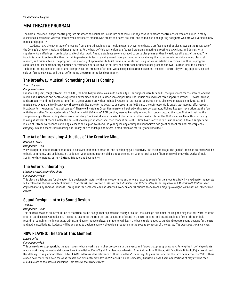# <span id="page-25-0"></span>**MFA THEATRE PROGRAM**

The Sarah Lawrence College theatre program embraces the collaborative nature of theatre. Our objective is to create theatre artists who are skilled in many disciplines: actors who write; directors who act; theatre makers who create their own projects; and sound, set, and lighting designers who are well-versed in new media and puppetry.

Students have the advantage of choosing from a multidisciplinary curriculum taught by working theatre professionals that also draws on the resources of the College's theatre, music, and dance programs. At the heart of this curriculum are focused programs in acting, directing, playwriting, and design, with supplementary offerings in production and technical work. Theatre students are encouraged to cross disciplines as they investigate all areas of theatre. The faculty is committed to active theatre training—students learn by doing—and have put together a vocabulary that stresses relationships among classical, modern, and original texts. The program uses a variety of approaches to build technique, while nurturing individual artistic directions. The theatre program examines not just contemporary American performance but also diverse cultural and historical influences that precede our own. Courses include Alexander Technique, acting, comedic and dramatic improvisation, creation of original work, design, directing, movement, musical theatre, playwriting, puppetry, speech, solo performance, voice, and the art of bringing theatre into the local community.

# **The Broadway Musical: Something Great Is Coming**

## *Stuart Spencer*

#### *Component—Year*

For some 60 years, roughly from 1920 to 1980, the Broadway musical was in its Golden Age. The subjects were for adults, the lyrics were for the literate, and the music had a richness and depth of expression never since equaled in American composition. That music evolved from three separate strands—Jewish, African, and European—and the libretti sprung from a great vibrant stew that included vaudeville, burlesque, operetta, minstrel shows, musical comedy-farce, and musical extravaganza. We'll study how these widely disparate forms began to coalesce in the 1920s into the quintessentially brash, toe-tapping, effervescent Broadway form known as "musical comedy." Then we'll watch as Oscar Hammerstein II, paired with a new collaborator, Richard Rodgers, revolutionized the form with the so-called "integrated musical." Beginning with *Oklahoma!,* R&H (as they were universally known) insisted on putting the story first and making the songs—along with everything else—serve that story. The inevitable apotheosis of their efforts is the musical play of the 1950s, and we'll end this section by looking at several of them. Finally, the musical showed yet another face: the "concept musical"—Broadway's answer to cubist painting. It took a subject and looked at it from every conceivable angle except one: a plot. We'll end the year by looking at Stephen Sondheim's two great concept musical masterpieces: *Company*, which deconstructs marriage, intimacy, and friendship; and *Follies*, a meditation on mortality and time itself.

# **The Art of Improvising: Athletics of the Creative Mind**

# *Christine Farrell*

## *Component—Fall*

We will explore techniques for spontaneous behavior, immediate creation, and developing your creativity and truth on stage. The goal of the class exercises will be to build community and collaboration, to deepen your communication skills, and to strengthen your natural sense of humor. We will study the works of Viola Spolin, Keith Johnstone, Upright Citizens Brigade, and Second City.

## **The Actor's Laboratory**

## *Christine Farrell, Gabrielle Schutz*

#### *Component—Year*

This class is a laboratory for the actor; it is designed for actors with some experience and who are ready to search for the steps to a fully involved performance. We will explore the theories and techniques of Stanislavski and Grotowski. We will read *Stanislavski in Rehearsal* by Vasili Torporkov and *At Work with Grotowski on Physical Action* by Thomas Richards. Throughout the semester, each student will work on one 10-minute scene from a major playwright*. This class will meet twice a week.*

## **Sound Design I: Intro to Sound Design**

#### *Tei Blow*

#### *Component—Year*

This course serves as an introduction to theatrical sound design that explores the theory of sound, basic design principles, editing and playback software, content creation, and basic system design. The course examines the function and execution of sound in theatre, cinema, and interdisciplinary forms. Through field recording, sampling, nonlinear audio editing, and performance software, students will learn the basic tools needed to build and execute sound designs for theatre and audio installations. Students will be assigned to design a current theatrical production in the second semester of the course. *This class meets once a week.*

## **NOW PLAYING: Theatre at This Moment**

## *Kevin Confoy*

#### *Component—Fall*

This course looks at playwright theatre makers whose works are in direct response to the events and forces that play upon us now. Among the list of playwrights whose works may be read and discussed are Annie Baker, Paula Vogel, Branden Jacob-Jenkins, Ayad Akhtar, Lynn Nottage, Will Eno, Olivia Dufault, Rajiv Joseph, and David Henry Hwang, among others. NOW PLAYING addresses the relevance of theatre in the 21st century. Do plays matter? Has the form been exhausted? Or is there a need now, more than ever, for what theatre can distinctly provide? NOW PLAYING is a one-semester, discussion-based seminar. Portions of plays will be read aloud in class to facilitate discussions. *This class meets twice a week.*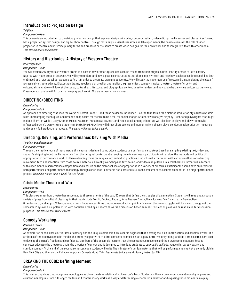## **Introduction to Projection Design**

#### *Tei Blow*

## *Component—Year*

This course is an introduction to theatrical projection design that explores design principles, content creation, video editing, media server and playback software, basic projection system design, and digital show control. Through text analysis, visual research, and lab experiments, the course examines the role of video projection in theatre and interdisciplinary forms and prepares participants to create video designs for their own work and to integrate video with other media. *This class meets once a week.*

## **History and Histrionics: A History of Western Theatre**

## *Stuart Spencer*

## *Component—Year*

You will explore 2,500 years of Western drama to discover how dramaturgical ideas can be traced from their origins in fifth-century Greece to 20th-century Nigeria, with many stops in between. We will try to understand how a play is constructed rather than simply written and how how each succeeding epoch has both embraced and rejected what has come before it in order to create its own unique identity. We will study the major genres of Western drama, including the idea of a classically structured play, Elizabethan drama, neoclassicism, realism, naturalism, expressionism, comedy, musical theatre, theatre of cruelty, and existentialism. And we will look at the social, cultural, architectural, and biographical context to better understand how and why they were written as they were. Classroom discussion will focus on a new play each week. *This class meets twice a week.*

## **DIRECTING/BRECHTING**

#### *Kevin Confoy*

## *Component—Fall*

An approach to directing that uses the works of Bertolt Brecht—and those he deeply influenced—as the foundation for a distinct production style fuses dynamic texts, metastaging techniques, and Brecht's deep desire for theatre to be a tool for social change. Students will analyze plays by Brecht and playwrights that might include Thornton Wilder, Larry Kramer, Moises Kaufman, Anna Deavere Smith, and Paula Vogel, among others. We will also look at plays and playwrights who influenced Brecht's own writing. Students in DIRECTING/BRECHTING will direct short scenes and moments from chosen plays, conduct mock production meetings, and present full production proposals. *This class will meet twice a week.*

## **Directing, Devising, and Performance: Devising With Media**

## *Tei Blow, David Neumann*

## *Component—Year*

Through the creative reuse of mass media, this course is designed to introduce students to a performance strategy based on sampling existing text, video, and sound. By stripping found media materials from their original context and arranging them in new ways, participants will explore the methods and politics of appropriation in performance work. By then extending those techniques into embodied practices, students will experiment with various methods of extracting movement, text, and intention from those source materials. Biweekly workshops on text, sound, and video manipulation in a collaborative format will alternate with experiments in performance composition and lectures on the historical use of appropriation in a variety of art forms. Participants should have an interest in both performance and performance technology, though experience in either is not a prerequisite. Each semester of the course culminates in a major performance project. *This class meets once a week for two hours.*

## **Crisis Mode: Theatre at War**

## *Kevin Confoy*

## *Component—Fall*

This class examines how theatre has responded to those moments of the past 50 years that define the struggles of a generation. Students will read and discuss a variety of plays from a list of playwrights that may include Brecht, Beckett, Fugard, Anna Deavere Smith, Wole Soyinka, Eve Ensler, Larry Kramer, Dael Orlandersmith, and August Wilson, among others. Documentary films that represent distinct points of view on the same struggles will be shown throughout the semester. Plays will be supplemented with nonfiction readings. Theatre at War is a discussion-based seminar. Portions of plays will be read aloud for discussion purposes. *This class meets twice a week*

## **Comedy Workshop**

## *Christine Farrell*

## *Component—Year*

An exploration of the classic structures of comedy and the unique comic mind, this course begins with it a strong focus on improvisation and ensemble work. The athletics of the creative comedic mind is the primary objective of the first-semester exercises. Status play, narrative storytelling, and the Harold exercise are used to develop the artist's freedom and confidence. Members of the ensemble learn to trust the spontaneous response and their own comic madness. Second semester educates the theatre artist in the theories of comedy and is designed to introduce students to *commedia dell'arte*, vaudeville, parody, satire, and standup comedy. At the end of the second semester, each student will write five minutes of standup material that will be performed one night at a comedy club in New York City and then on the College campus on Comedy Night. *This class meets twice a week. Spring instructor TBA*

## **BREAKING THE CODE: Defining Moment**

## *Kevin Confoy*

#### *Component—Fall*

This is an acting class that recognizes monologues as the ultimate revelation of a character's Truth. Students will work on one-person and monologue plays and existent monologues from full-length modern and contemporary works as a way of determining a character's behavior and exposing those moments in a play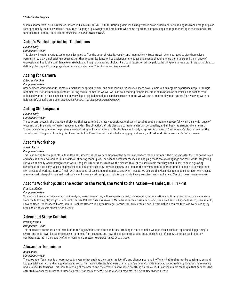#### 27 **MFA Theatre Program**

when a character's Truth is revealed. Actors will leave BREAKING THE CODE: Defining Moment having worked on an assortment of monologues from a range of plays that specifically includes works of The Kilroys, "a gang of playwrights and producers who came together to stop talking about gender parity in theatre and start taking action," among many others. *This class will meet twice a week.*

# **Actor's Workshop: Acting Techniques**

## *Michael Early*

## *Component—Year*

This class will explore various techniques designed to free the actor physically, vocally, and imaginatively. Students will be encouraged to give themselves permission to play, emphasizing process rather than results. Students will be assigned monologues and scenes that challenge them to expand their range of expression and build the confidence to make bold and imaginative acting choices. Particular attention will be paid to learning to analyze a text in ways that lead to defining clear, specific, and playable actions and objectives. *This class meets twice a week.*

## **Acting for Camera**

#### *K. Lorrel Manning*

#### *Component—Year*

Great camera work demands intimacy, emotional adaptability, risk, and connection. Students will learn how to maintain an organic experience despite the rigid technical restrictions and requirements. During the fall semester, we will work on cold-reading techniques, emotional expansion exercises, and scenes from published works. In the second semester, we will put original monologues and scenes on camera. We will use a monitor playback system for reviewing work to help identify specific problems. *Class size is limited. This class meets twice a week.*

## **Acting Shakespeare**

## *Michael Early*

## *Component—Year*

Those actors rooted in the tradition of playing Shakespeare find themselves equipped with a skill set that enables them to successfully work on a wide range of texts and within an array of performance modalities. The objectives of this class are to learn to identify, personalize, and embody the structural elements of Shakespeare's language as the primary means of bringing his characters to life. Students will study a representative arc of Shakespeare's plays, as well as the sonnets, with the goal of bringing his characters to life. Class time will be divided among physical, vocal, and text work. *This class meets twice a week.*

## **Actor's Workshop**

#### *Angela Pierce*

#### *Component—Year*

This is an acting techniques class: foundational, process-based work to empower the actor in any theatrical environment. The first semester focuses on the voice and body and the development of a "toolbox" of acting techniques. The second semester focuses on applying those tools to language and text, while integrating the voice and body work through scene work. The goal is for students to leave the class with all of the basic tools that they need to act; to have a growing awareness of their body, voice, and physical habits in order that they may consciously use them in the development of character; and to begin to develop their own process of working, start to finish, with an arsenal of tools and techniques to use when needed. We explore the Alexander Technique, character work, sense memory work, viewpoints, animal work, voice and speech work, script analysis, text analysis, Lecoq exercises, and much more*. This class meets twice a week.*

## **Actor's Workshop: Suit the Action to the Word, the Word to the Action—Hamlet, III. ii. 17-18**

## *Ernest H. Abuba*

#### *Component—Year*

Students will work on voice work, script analysis, sensory exercises, a Shakespeare sonnet, cold readings, improvisation, auditioning, and extensive scene work from the following playwrights: Sara Ruhl, Theresa Rebeck, Susan Yankowitz, Maria Irene Fornes, Suzan-Lori Parks, Jean-Paul Sartre, Eugene Ionesco, Jean Anouilh, Edward Albee, Tennessee Williams, Samuel Beckett, Oscar Wilde, Lynn Nottage, Katoria Hall, Arthur Miller, and Edward Baker. Required text: *The Art of Acting*, by Stella Adler. *This class meets twice a week.*

## **Advanced Stage Combat**

#### *Sterling Swann*

#### *Component—Year*

This course is a continuation of Introduction to Stage Combat and offers additional training in more complex weapon forms, such as rapier and dagger, single sword, and small sword. Students receive training as fight captains and have the opportunity to take additional skills proficiency tests that lead to actor/ combatant status in the Society of American Fight Directors. *This class meets once a week.*

## **Alexander Technique**

#### *June Ekman*

#### *Component—Year*

The Alexander Technique is a neuromuscular system that enables the student to identify and change poor and inefficient habits that may be causing stress and fatigue. With gentle, hands-on guidance and verbal instruction, the student learns to replace faulty habits with improved coordination by locating and releasing undue muscular tensions. This includes easing of the breath and the effect of coordinated breathing on the voice. It is an invaluable technique that connects the actor to his or her resources for dramatic intent. *Four sections of this class. Audition required. This class meets once a week.*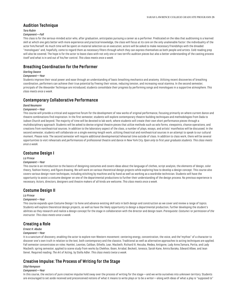## **Audition Technique**

## *Tara Rubin*

## *Component—Fall*

This class is for the serious-minded actor who, after graduation, anticipates pursuing a career as a performer. Predicated on the idea that auditioning is a learned skill at which one gets better with more experience and practical knowledge, the class will focus at its core on the only unalienable factor: the individuality of the actor him/herself. As much time will be spent on material selection as on execution; actors will be asked to make necessary friendships with the dreaded "monologues" and, hopefully, come to regard them as necessary filters through which they can express themselves as both people and artists. Cold-reading prep will also be covered. The hope is for the actor to leave class with not only one or two terrific audition pieces but also a better understanding of the casting process itself and what is in and out of his/her control. *This class meets once a week.*

# **Breathing Coordination for the Performer**

## *Sterling Swann*

#### *Component—Year*

Students improve their vocal power and ease through an understanding of basic breathing mechanics and anatomy. Utilizing recent discoveries of breathing coordination, performers can achieve their true potential by freeing their voices, reducing tension, and increasing vocal stamina. In the second semester, principals of the Alexander Technique are introduced; students consolidate their progress by performing songs and monologues in a supportive atmosphere. *This class meets once a week.*

## **Contemporary Collaborative Performance**

#### *David Neumann*

#### *Component—Year*

This course will provide a critical and supportive forum for the development of new works of original performance, focusing primarily on where current dance and theatre combinations find inspiration. In the first semester, students will explore contemporary theatre-building techniques and methodologies from Dada to Judson Church and beyond. The majority of time will be devoted to lab work, where students will create their own short performance pieces through a multidisciplinary approach. Students will be asked to devise original theatre pieces that utilize methods such as solo forms, viewpoints, chance operations, and creations from nontheatrical sources. In addition to the laboratory aspect of the class, a number of plays, essays, and artists' manifestos will be discussed. In the second semester, students will collaborate on a single evening-length work, utilizing theatrical and nontheatrical sources in an attempt to speak to our cultural moment. Please note: The second semester will require additional developmental/rehearsal time outside of class. In addition to class work, there will be several opportunities to visit rehearsals and performances of professional theatre and dance in New York City. *Open only to first-year graduate students. This class meets once a week.*

## **Costume Design I**

#### *Liz Prince*

#### *Component—Year*

This course is an introduction to the basics of designing costumes and covers ideas about the language of clothes, script analysis, the elements of design, color theory, fashion history, and figure drawing. We will work on various theoretical design projects while exploring how to develop a design concept. This course also covers various design-room techniques, including stitching by machine and by hand as well as working as a wardrobe technician. Students will have the opportunity to assist a costume designer on one of the departmental productions to further their understanding of the design process. No previous experience is necessary. Actors, directors, designers and theatre makers of all kinds are welcome. *This class meets once a week.*

## **Costume Design II**

#### *Liz Prince*

#### *Component—Year*

This course expands upon Costume Design l to hone and advance existing skill sets in both design and construction as we cover and review a range of topics. Students will explore theoretical design projects, as well as have the likely opportunity to design a departmental production, further developing the student's abilities as they research and realize a design concept for the stage in collaboration with the director and design team. *Prerequisite: Costume I or permission of the instructor. This class meets once a week.*

## **Creating a Role**

## *Ernest H. Abuba*

#### *Component—Year*

It is a sanctum of discovery, enabling the actor to explore non-Western movement: centering energy, concentration, the voice, and the"mythos" of a character to discover one's own truth in relation to the text, both contemporary and the classics. Traditional as well as alternative approaches to acting techniques are applied. Fall semester concentrates on roles: Hamlet, Leontes, Caliban, Othello, Lear, Macbeth, Richard III, Hecuba, Medea, Antigone, Lady Anne,Tamara, Portia, and Lady Macbeth; spring semester, applied to scene study from works by Chekhov, Ibsen, Arrabal, Beckett, Ionesco, Sarah Kane, Amira Baraka, Edward Albee, and Jean Genet. Required reading: *The Art of Acting*, by Stella Adler. *This class meets twice a week.*

## **Creative Impulse: The Process of Writing for the Stage**

## *Sibyl Kempson*

#### *Component—Year*

In this course, the vectors of pure creative impulse hold sway over the process of writing for the stage—and we write ourselves into unknown territory. Students are encouraged to set aside received and preconceived notions of what it means to write plays or to be a writer—along with ideas of what a play is "supposed to"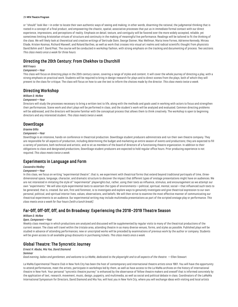#### 29 **MFA Theatre Program**

or "should" look like—in order to locate their own authentic ways of seeing and making; in other words, disarming the rational, the judgmental thinking that is rooted in a concept of a final product, and empowering the chaotic, spatial, associative processes that put us in immediate formal contact with our direct experience, impressions, and perceptions of reality. Emphasis on detail, texture, and contiguity will be favored over the more widely accepted, reliable, yet sometimes limiting Aristotelian virtues of structure and continuity in the making of meaningful live performance. Readings will be tailored to fit the thinking of the class. We will likely look at theoretical and creative writings of Gertrude Stein, George Steiner, Mac Wellman, Maria Irene Fornes, Adrienne Kennedy, Mircea Eliade, Kristen Kosmas, Richard Maxwell, and Roland Barthes, as well as work that crosses into visual art realms and radical scientific thought from physicists David Bohm and F. David Peat. The course will be conducted in workshop fashion, with strong emphasis on the tracking and documenting of process. *Two sections. This class meets once a week for three hours.*

# **Directing the 20th Century: From Chekhov to Churchill**

## *Will Frears*

## *Component—Year*

This class will focus on directing plays in the 20th-century canon, covering a range of styles and content. It will cover the whole journey of directing a play, with a strong emphasis on practical work. Students will be required to bring in design research for plays and to direct scenes from the plays, both of which they will present to the class for critique. The class will focus on how to use the text to inform the choices made by the director. *This class meets twice a week.*

## **Directing Workshop**

#### *William D. McRee*

#### *Component—Year*

Directors will study the processes necessary to bring a written text to life, along with the methods and goals used in working with actors to focus and strengthen their performances. Scene work and short plays will be performed in class, and the student's work will be analyzed and evaluated. Common directing problems will be addressed, and the directors will become familiar with the conceptual process that allows them to think creatively. The workshop is open to beginning directors and any interested student. *This class meets twice a week.*

## **DownStage**

#### *Graeme Gillis*

#### *Component—Year*

DownStage is an intensive, hands-on conference in theatrical production. DownStage student producers administrate and run their own theatre company. They are responsible for all aspects of production, including determining the budget and marketing an entire season of events and productions; they are expected to fill a variety of positions, both technical and artistic, and to sit as members of the board of directors of a functioning theatre organization. In addition to their obligations to class and designated productions, DownStage student producers are expected to hold regular office hours. Prior producing experience is not required. *This class meets twice a week.*

## **Experiments in Language and Form**

#### *Cassandra Medley*

#### *Component—Year*

In this class, we focus on writing "experimental theatre"; that is, we experiment with theatrical forms that extend beyond traditional portrayals of time, threedimensional space, language, character, and dramatic structure to discover the impact that different types of onstage presentations might have on audiences. We are not interested in imitating the style of "experimental" playwrights but, rather, using their texts as influence, stimulus, and encouragement as we attempt our own "experiments." We will also style experimental texts to ascertain the types of environments—political, spiritual, mental, social—that influenced such texts to be generated; that is, created. Our aim, first and foremost, is to investigate and explore ways to genuinely investigate and give theatrical expression to our own personal, political, and spiritual interior lives, values, observations, and beliefs. We will then strive to examine the most effective manner of communicating our theatrical experiments to an audience. Our experimental writing may include multimedia presentations as part of the scripted onstage play or performance. *This class meets once a week for four hours (with a lunch break).*

# **Far-Off, Off-Off, Off, and On Broadway: Experiencing the 2018–2019 Theatre Season**

#### *William D. McRee*

#### *Open, Component—Year*

Weekly class meetings in which productions are analyzed and discussed will be supplemented by regular visits to many of the theatrical productions of the current season. The class will travel within the tristate area, attending theatre in as many diverse venues, forms, and styles as possible. Published plays will be studied in advance of attending performances; new or unscripted works will be preceded by examinations of previous work by the author or company. Students will be given access to all available group discounts in purchasing tickets. *This class meets once a week.*

# **Global Theatre: The Syncretic Journey**

## *Ernest H. Abuba, Mia Yoo, David Diamond*

## *Seminar*

*Good evening, ladies and gentlemen, and welcome to La MaMa, dedicated to the playwright and to all aspects of the theatre.* —Ellen Stewart

La MaMa Experimental Theatre Club in New York City has been the host of contemporary and international theatre artists since 1961. You will have the opportunity to attend performances, meet the artists, participate in workshops led by them, as well as have access to the La MaMa archives on the history of international theatre in New York. Your personal "syncretic theatre journey" is enhanced by the observance of fellow theatre makers and oneself that is informed concretely by the application of text, research, movement, music, design, puppetry, and multimedia, as well as social and political debate in class. Coordinators of the LaMaMa International Symposium for Directors, David Diamond and Mia Yoo, will host you in New York City, where you will exchange ideas with visiting and local artists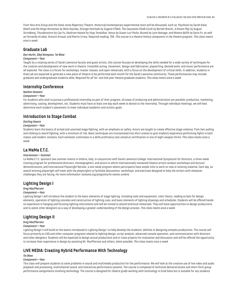from Yara Arts Group and the Great Jones Repertory Theatre. Historical/contemporary experimental texts will be discussed, such as: *Psychosis* by Sarah Kane, *Death and the Kings Horseman* by Wole Soyinka, *Strange Interlude* by Eugene O'Neill, *The Caucasian Chalk Circle* by Bertolt Brecht, *A Dream Play* by August Strindberg, *Thunderstorm* by Cao Yu, *Goshram Kwotal* by Vijay Tendulkar, *Venus* by Susan-Lori Parks, *Ruined* by Lynn Nottage, and *Mistero Buffo* by Dario Fo, as well as Fernando Arrabal, Antonin Artaud, and Martin Crimp. Required reading: TBA. *This course is a theatre history component in the theatre program. This class meets once a week.*

# **Graduate Lab**

## *Dan Hurlin, Sibyl Kempson, Tei Blow*

## *Component—Year*

Taught by a rotating series of Sarah Lawrence faculty and guest artists, this course focuses on developing the skills needed for a wide variety of techniques for the creation and development of new work in theatre. Ensemble acting, movement, design and fabrication, playwriting, devised work, and music performance are all explored. The class is a forum for workshops, master classes, and open rehearsals, with a focus on the development of critical skills. In addition, students in Grad Lab are expected to generate a new piece of theatre to be performed each month for the Sarah Lawrence community. These performances may include graduate and undergraduate students alike. *Required for all 1st- and 2nd-year theatre graduate students. This class meets once a week.*

## **Internship Conference**

# *Neelam Vaswani*

## *Component—Year*

For students who wish to pursue a professional internship as part of their program, all areas of producing and administration are possible: production, marketing, advertising, casting, development, etc. Students must have at least one day each week to devote to the internship. Through individual meetings, we will best determine each student's placement to meet individual academic and artistic goals.

## **Introduction to Stage Combat**

#### *Sterling Swann*

#### *Component—Year*

Students learn the basics of armed and unarmed stage fighting, with an emphasis on safety. Actors are taught to create effective stage violence, from hair pulling and choking to sword fighting, with a minimum of risk. Basic techniques are incorporated into short scenes to give students experience performing fights in both classic and modern contexts. Each semester culminates in a skills proficiency test aimed at certification in one of eight weapon forms. *This class meets once a week.*

# **La MaMa E.T.C.**

## *Intersession—Summer*

La MaMa E.T.C. sponsors two summer events in Umbria, Italy, in conjunction with Sarah Lawrence College: International Symposium for Directors, a three-week training program for professional directors, choreographers, and actors in which internationally renowned theatre artists conduct workshops and lecture/ demonstrations; and International Playwright Retreat, a one-week program where participants have ample time to work on new or existing material. Each day, an award-winning playwright will meet with the playwrights to facilitate discussions, workshops, and exercises designed to help the writers with whatever challenges they are facing. *For more information: lamama.org/programs/la-mama-umbria*

## **Lighting Design I**

## *Greg MacPherson*

#### *Component—Year*

Lighting Design I will introduce the student to the basic elements of stage lighting, including tools and equipment, color theory, reading scripts for design elements, operation of lighting consoles and construction of lighting cues, and basic elements of lighting drawings and schedules. Students will be offered handson experience in hanging and focusing lighting instruments and will be invited to attend technical rehearsals. They will have opportunities to design productions and to assist other designers as a way of developing a greater understanding of the design process. *This class meets once a week.*

## **Lighting Design II**

#### *Greg MacPherson*

#### *Component—Year*

Lighting Design II will build on the basics introduced in Lighting Design I to help develop the students' abilities in designing complex productions. The course will focus primarily on CAD and other computer programs related to lighting design, script analysis, advanced console operation, and communication with directors and other designers. Students will be expected to design actual productions and in-class projects for evaluation and discussion and will be offered the opportunity to increase their experience in design by assisting Mr. MacPherson and others, when possible. *This class meets once a week.*

## **LIVE MEDIA: Creating Hybrid Performance With Technology**

## *Tei Blow*

## *Component—Year*

This class will prepare students to solve problems in sound and multimedia production for live performance. We will look at the creative use of live video and audio playback and processing, multichannel sound, and interactive performance systems. The course is composed of technical demonstrations and short-form group performance assignments involving technology. The course is designed for theatre grads working with technology in Grad Solos but is suitable for any students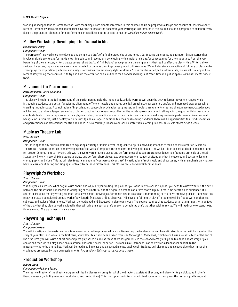#### 31 **MFA Theatre Program**

working on independent performance work with technology. Participants interested in this course should be prepared to design and execute at least two shortform performance works or media installations over the course of the academic year. Participants interested in this course should be prepared to collaboratively design the projection elements for a performance or installation in the second semester. *This class meets once a week.*

# **Medley Workshop: Developing the Dramatic Idea**

## *Cassandra Medley*

## *Component—Year*

The purpose of this workshop is to develop and complete a draft of a final project play of any length. Our focus is on originating character-driven stories that involve multiple events and/or multiple turning points and revelations, concluding with a major crisis and/or consequence for the characters. From the very beginning of the semester, writers create several short drafts of "mini-plays" as we practice the components that lead to effective playwriting. Writers allow various characters, topics, and concerns to be revealed to them as their in-process project(s) take shape. We will also study a selection of full-length plays and/or screenplays for inspiration, guidance, and analysis of various contemporary styles of drama. Styles may be varied; but as dramatists, we are all challenged by a form of storytelling that requires us to try and hold the attention of an audience for a condensed length of "real" time in a public space. *This class meets once a week.*

## **Movement for Performance**

## *Patti Bradshaw, David Neumann*

#### *Component—Year*

This class will explore the full instrument of the performer; namely, the human body. A daily warmup will open the body to larger movement ranges while introducing students to a better functioning alignment, efficient muscle and energy use, full breathing, clear weight transfer, and increased awareness while traveling through space. A combination of improvisation, contact improvisation, set phrases, and in-class assignments creating short, movement-based pieces will be used to explore a larger range of articulation that the body reveals regardless of the words spoken on stage. In all aspects, the goals of this class are to enable students to be courageous with their physical selves, more articulate with their bodies, and more personally expressive in performance. No movement background is required, just a healthy mix of curiosity and courage. In addition to occasional reading handouts, there will be opportunities to attend rehearsals and performances of professional theatre and dance in New York City. Please wear loose, comfortable clothing to class. *This class meets twice a week.*

## **Music as Theatre Lab**

#### *Stew Stewart*

#### *Component—Year*

This lab is open to any artists committed to exploring a variety of music-driven, song-centric, spirit-derived approaches to music-theatre creation. Music as Theatre Lab invites students into an investigation of the work of prophets, faith healers, and wild politicians—as well as blues, gospel, and old-school rock-androll artists. Commitment to risk-as-truth, with an eye toward creating pieces and performances that conjure transcendence, is a founding principle of the Lab. Students will work in evershifting teams to create and perform short pieces; e.g., scenes, sermons, songs, or situations that include set and costume designs, choreography, and video. This lab will also feature an ongoing "compare and contrast" investigation of rock music and show tunes, with an emphasis on what we have to learn about acting and singing effectively from those differences. *This class meets once a week for four hours.*

## **Playwright's Workshop**

#### *Stuart Spencer*

#### *Component—Year*

Who are you as a writer? What do you write about, and why? Are you writing the play that you want to write or the play that you *need* to write? Where is the nexus between the amorphous, subconscious wellspring of the material and the rigorous demands of a form that will play in real time before a live audience? This course is designed for playwriting students who have a solid knowledge of dramatic structure and an understanding of their own creative process—and who are ready to create a complete dramatic work of any length. (As Edward Albee observed, "All plays are full-length plays.") Students will be free to work on themes, subjects, and styles of their choice. Work will be read aloud and discussed in class each week. The course requires that students enter, at minimum, with an idea of the play that they plan to work on; ideally, they will bring in a partial draft or even a completed draft that they wish to revise. We will read some existent texts, time allowing. *This class meets twice a week.*

## **Playwriting Techniques**

#### *Stuart Spencer*

#### *Component—Year*

You will investigate the mystery of how to release your creative process while also discovering the fundamentals of dramatic structure that will help you tell the story of your play. Each week in the first term, you will write a short scene taken from *The Playwright's Guidebook*, which we will use as a basic text. At the end of the first term, you will write a short but complete play based on one of these short assignments. In the second term, you'll go on to adapt a short story of your choice and then write a play based on a historical character, event, or period. The focus in all instances is on the writer's deepest connection to the material—where the drama lies. Work will be read aloud in class and discussed in class each week. Students will also read and discuss plays that mirror the challenges presented by their own assignments. *Two sections. This course meets once a week.*

## **Production Workshop**

## *Robert Lyons*

## *Component—Fall and Spring*

The creative director of the theatre program will lead a discussion group for all of the directors, assistant directors, and playwrights participating in the fall theatre season (including readings, workshops, and productions). This is an opportunity for students to discuss with their peers the process, problems, and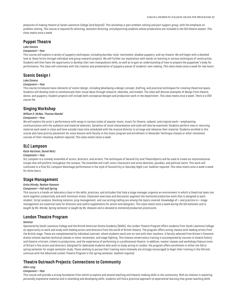pleasures of making theatre at Sarah Lawrence College (and beyond). This workshop is part problem-solving and part support group, with the emphasis on problem-solving. *This course is required for directing, assistant directing, and playwriting students whose productions are included in the fall theatre season. This class meets once a week.*

## **Puppet Theatre**

#### *Lake Simons*

#### *Component—Year*

This course will explore a variety of puppetry techniques, including *bunraku*-style, marionette, shadow puppetry, and toy theatre. We will begin with a detailed look at these forms through individual and group research projects. We will further our exploration with hands-on learning in various techniques of construction. Students will then have the opportunity to develop their own manipulation skills, as well as to gain an understanding of how to prepare the puppeteer's body for performance. The class will culminate with the creation and presentation of puppetry pieces of students' own making. *This class meets once a week for two hours.*

## **Scenic Design I**

#### *Lake Simons*

#### *Component—Year*

This course introduces basic elements of scenic design, including developing a design concept, drafting, and practical techniques for creating theatrical space. Students will develop tools to communicate their visual ideas through research, sketches, and models. The class will discuss examples of design from theatre, dance, and puppetry. Student projects will include both conceptual designs and production work in the department. *This class meets once a week. There is a \$50 course fee.*

## **Singing Workshop**

#### *William D. McRee, Thomas Mandel*

## *Component—Year*

We will explore the actor's performance with songs in various styles of popular music, music for theatre, cabaret, and original work—emphasizing communication with the audience and material selection. Dynamics of vocal interpretation and style will also be examined. Students perform new or returning material each week in class and have outside class time scheduled with the musical director to arrange and rehearse their material. Students enrolled in this course also have priority placement for voice lessons with faculty in the music program and enrollment in Alexander Technique classes or other movement courses of their choosing. *Audition required. This class meets twice a week.*

## **SLC Lampoon**

## *Katie Hartman, Daniel Reitz*

## *Component—Year*

SLC Lampoon is a comedy ensemble of actors, directors, and writers. The techniques of Second City and TheatreSports will be used to create an improvisational troupe that will perform throughout the campus. The ensemble will craft comic characters and write sketches, parodies, and political satire. This work will culminate in a final SLC Lampoon Mainstage performance in the style of Second City or *Saturday Night Live*. *Audition required. This class meets once a week a week for three hours.*

## **Stage Management**

#### *Greta Minsky, Neelam Vaswani*

## *Component—Fall and Spring*

This course is a hands-on laboratory class in the skills, practices, and attitudes that help a stage manager organize an environment in which a theatrical team can work together productively and with minimum stress. Classroom exercises and discussion augment the mentored production work that is assigned to each student. Script analysis, blocking notation, prop management, and cue writing/calling are among the topics covered. Knowledge of—and practice in—stage management are essential tools for directors and useful supplements for actors and designers. *This class meets once a week during the fall semester and is taught by Ms. Minsky. Spring semester is taught by Ms. Vaswani and is devoted to mentored production practicums.*

## **London Theatre Program**

## *Seminar*

Sponsored by Sarah Lawrence College and the British American Drama Academy (BADA), the London Theatre Program offers students from Sarah Lawrence College an opportunity to work and study with leading actors and directors from the world of British theatre. The program offers acting classes with leading artists from the British stage. These are complemented by individual tutorials, where students work one-on-one with their teachers. A faculty selected from Britain's foremost drama schools teaches technical classes in voice, movement, and stage fighting. This intense conservatory training is accompanied by courses in theatre history and theatre criticism, tickets to productions, and the experience of performing in a professional theatre. In addition, master classes and workshops feature more of Britain's fine actors and directors. Designed for dedicated students who wish to study acting in London, the program offers enrollment in either the fall or spring semester for single-semester study. Those wishing to pursue their training more intensely are strongly encouraged to begin their training in the fall and continue with the Advanced London Theatre Program in the spring semester. *Audition required.*

# **Theatre Outreach Projects: Connections to Community**

#### *Allen Lang*

#### *Component—Year*

This course will provide a strong foundation from which to explore and extend teaching and theatre-making skills in the community. With an interest in exploring personally expressive material and in extending and developing skills, students will find a practical approach to experiential learning that grows teaching skills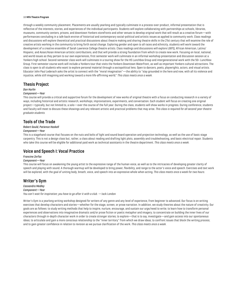#### 33 **MFA Theatre Program**

through a weekly community placement. Placements are usually yearlong and typically culminate in a process-over-product, informal presentation that is reflective of the interests, stories, and experiences of the individual participants. Students will explore collaborating with partnerships at schools, libraries, museums, community centers, prisons, and downtown Yonkers storefronts and other venues to develop original work that will result as a creative forum—with performances concluding in a talk-back environ of historical and contemporary social-political and artistic issues as applied to community work. Class readings and discussions will explore theoretical and practical discussions about theatre making and sharing theatre skills in the 21st century that will examine the role of creative artists working in the community to bring forth social change. Exploring gender and open to all races and ethnicity, students will work toward the development of a creative ensemble of Sarah Lawrence College theatre artists. Class readings and discussions will explore LGBTQ, African American, Latino/ Hispanic, and Asian/Asian American artistic contributions, and that will provide a strong foundation from which to create new work. Focusing on local, national, and world issues as they pertain to our own experiences, first-semester work will culminate in an informal workshop presentation and discussion session at a Yonkers high school. Second-semester class work will culminate in a touring show for the HS Lunchbox Group and intergenerational work with the 50+ Lunchbox Group. First-semester course work will include a Yonkers tour that visits the Yonkers Downtown Waterfront, as well as important Yonkers cultural attractions. The class is open to all students who want to explore personal material through a sociopolitical lens. Open to dancers, poets, playwrights, actors, and visual artists. Educator John Paul Lederach asks the artist to connect with the "moral imagination"—the ability to "stay grounded in the here and now, with all its violence and injustice, while still imagining and working toward a more life-affirming world." *This class meets once a week.*

## **Thesis Project**

#### *Dan Hurlin*

## *Component—Year*

This course will provide a critical and supportive forum for the development of new works of original theatre with a focus on conducting research in a variety of ways, including historical and artistic research, workshops, improvisations, experiments, and conversation. Each student will focus on creating one original project—typically, but not limited to, a solo—over the course of the full year. During the class, students will show works in progress. During conference, students and faculty will meet to discuss these showings and any relevant artistic and practical problems that may arise. *This class is required for all second-year theatre graduate students.*

## **Tools of the Trade**

## *Robert Gould, Patience Haskell*

#### *Component—Year*

This is a stagehand course that focuses on the nuts and bolts of light and sound board operation and projection technology, as well as the use of basic stage carpentry. This is not a design class but, rather, a class about reading and drafting light plots, assembly and troubleshooting, and basic electrical repair. Students who take this course will be eligible for additional paid work as technical assistants in the theatre department. *This class meets once a week.*

## **Voice and Speech I: Vocal Practice**

## *Francine Zerfas*

#### *Component—Year*

This course will focus on awakening the young artist to the expressive range of the human voice, as well as to the intricacies of developing greater clarity of speech and playing with sound. A thorough warmup will be developed to bring power, flexibility, and range to the actor's voice and speech. Exercises and text work will be explored, with the goal of uniting body, breath, voice, and speech into an expressive whole when acting*. This class meets once a week for two hours.*

## **Writer's Gym**

*Cassandra Medley Component—Year You can't wait for inspiration; you have to go after it with a club.* —Jack London

Writer's Gym is a yearlong writing workshop designed for writers of any genre and any level of experience, from beginner to advanced. Our focus is on writing exercises that develop characters and stories—whether for the stage, screen, or prose narration. In addition, we study theories about the nature of creativity. Our goals are as follows: to study writing methods that help to inspire, nurture, encourage, and sustain our urge/need to write; to learn how to transform personal experiences and observations into imaginative dramatic and/or prose fiction or poetic metaphor and imagery; to concentrate on building the inner lives of our characters through in-depth character work in order to create stronger stories; to explore—that is to say, investigate—and gain access into our spontaneous ideas; to articulate and gain a more conscious relationship to the "inner territory" from which we draw ideas; to confront issues that block the writing process; and to gain greater confidence in relation to revision as we pursue clarification of the work. *This class meets once a week.*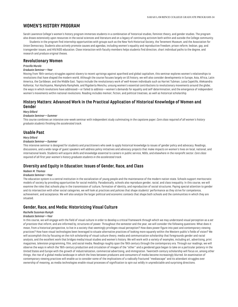# <span id="page-34-0"></span>**WOMEN'S HISTORY PROGRAM**

Sarah Lawrence College's women's history program immerses students in a combination of historical studies, feminist theory, and gender studies. The program also draws extensively upon resources in the social sciences and literature and on a legacy of continuing activism both within and outside the College community.

Students in the program find internship opportunities with groups such as the New York Historical Society, the Tenement Museum, and the Association for Union Democracy. Students also actively promote causes and agendas, including women's equality and reproductive freedom; prison reform; lesbian, gay, and transgender issues; and HIV/AIDS education. Close interaction with faculty members helps students find direction, chart individual paths to the degree, and research and produce original theses.

## **Revolutionary Women**

## *Priscilla Murolo*

## *Graduate Seminar—Year*

Moving from 19th-century struggles against slavery to recent uprisings against apartheid and global capitalism, this seminar explores women's relationships to revolutions that have shaped the modern world. Although the course focuses largely on US history, we will also consider developments in Europe, Asia, Africa, Latin America, the Caribbean, and the Middle East. Topics include the revolutionary work of well-known individuals such as Harriet Tubman, Luisa Capetillo, Aleksandra Kollontai, Yuri Kochiyama, Mamphela Ramphele, and Rigoberta Menchu; unsung women's essential contributions to revolutionary movements around the globe; the ways in which revolutions have addressed—or failed to address—women's demands for equality and self-determination; and the emergence of independent women's movements within national revolutions. Reading includes memoir, fiction, and political treatises, as well as historical scholarship.

# **History Matters: Advanced Work in the Practical Application of Historical Knowledge of Women and Gender**

*Mary Dillard*

#### *Graduate Seminar—Summer*

This course combines an intensive one-week seminar with independent study culminating in the capstone paper. *Core class required of all women's history graduate students finishing the accelerated track.*

## **Usable Past**

*Mary Dillard*

#### *Graduate Seminar—Summer*

This intensive seminar is designed for students and practitioners who seek to apply historical knowledge to issues of gender policy and advocacy. Readings, discussions, and a wide range of guest speakers will address policy initiatives and advocacy projects that make impacts on women's lives on local, national, and international levels. Students will acquire skills and knowledge essential to careers in public service, NGOs, and elsewhere in the nonprofit sector. *Core class required of all first-year women's history graduate students in the accelerated track.*

## **Diversity and Equity in Education: Issues of Gender, Race, and Class**

#### *Nadeen M. Thomas*

#### *Graduate Seminar—Year*

The education system is a central institution in the socialization of young people and the maintenance of the modern nation-state. Schools support meritocratic models of society by providing opportunities for social mobility. Paradoxically, schools also reproduce gender, racial, and class inequality. In this course, we will examine the roles that schools play in the transmission of culture, formation of identity, and reproduction of social structures. Paying special attention to gender and its intersection with other social categories, we will look at practices and policies that shape students' performance as they strive for competence, achievement, and acceptance. We will also analyze the larger political and economic contexts that shape both schools and the communities in which they are situated.

# **Gender, Race, and Media: Historicizing Visual Culture**

## *Rachelle Sussman Rumph*

## *Graduate Seminar—Year*

In this course, we will engage with the field of visual culture in order to develop a critical framework through which we may understand visual perception as a *set of practices* that inform, and are informed by, structures of power. Throughout the semester and the year, we will consider the following questions: What does it mean, from a historical perspective, to live in a society that seemingly privileges visual perception? How does power figure into past and contemporary viewing practices? How have visual technologies been leveraged to situate alternative practices of looking more squarely within the Western public's fields of vision? We will accomplish this by focusing on the rich scholarship of visual culture theory, media and communication scholarship that foregrounds gender and racial analysis, and the excellent work that bridges media/visual studies and women's history. We will work with a variety of examples, including art, advertising, print magazines, television programming, film, and social media. Readings roughly span the 19th century through the contemporary era. Through our readings, we will observe the ways in which the 19th-century production and circulation of images of the "other" and a gendered gaze began to take on a particular potency in the United States and Europe with the growth of industrialization, commercial advertising, and immigration. Twentieth-century scholarship will focus on, among other things, the rise of a global media landscape in which the lines between producers and consumers of media become increasingly blurred. An examination of contemporary viewing practices will enable us to consider some of the implications of a radically fractured "mediascape" and its attendant struggles over ownership of meaning, as media technologies enable visual processes of signification to spin out wildly in unpredictable and surprising directions.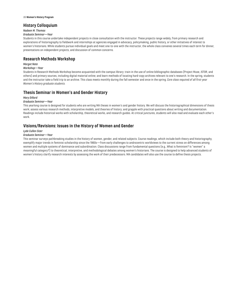## **History Colloquium**

## *Nadeen M. Thomas*

#### *Graduate Seminar—Year*

Students in this course undertake independent projects in close consultation with the instructor. These projects range widely, from primary research and explorations of historiography to fieldwork and internships at agencies engaged in advocacy, policymaking, public history, or other initiatives of interest to women's historians. While students pursue individual goals and meet one-to-one with the instructor, the whole class convenes several times each term for dinner, presentations on independent projects, and discussion of common concerns.

## **Research Methods Workshop**

## *Margot Note*

# *Workshop—Year*

Students in Research Methods Workshop become acquainted with the campus library; train in the use of online bibliographic databases (Project Muse, JSTOR, and others) and primary sources, including digital material online; and learn methods of locating hard-copy archives relevant to one's research. In the spring, students and the instructor take a field trip to an archive. This class meets monthly during the fall semester and once in the spring. *Core class required of all first-year Women's History graduate students.*

# **Thesis Seminar in Women's and Gender History**

#### *Mary Dillard*

#### *Graduate Seminar—Year*

This yearlong course is designed for students who are writing MA theses in women's and gender history. We will discuss the historiographical dimensions of thesis work; assess various research methods, interpretive models, and theories of history; and grapple with practical questions about writing and documentation. Readings include historical works with scholarship, theoretical works, and research guides. At critical junctures, students will also read and evaluate each other's work.

# **Visions/Revisions: Issues in the History of Women and Gender**

#### *Lyde Cullen Sizer*

## *Graduate Seminar—Year*

This seminar surveys pathbreaking studies in the history of women, gender, and related subjects. Course readings, which include both theory and historiography, exemplify major trends in feminist scholarship since the 1960s—from early challenges to androcentric worldviews to the current stress on differences among women and multiple systems of dominance and subordination. Class discussions range from fundamental questions (e.g., What is feminism? Is "women" a meaningful category?) to theoretical, interpretive, and methodological debates among women's historians. The course is designed to help advanced students of women's history clarify research interests by assessing the work of their predecessors. MA candidates will also use the course to define thesis projects.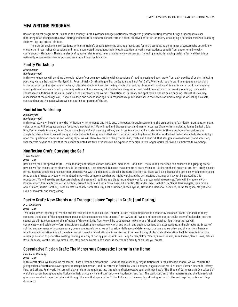# <span id="page-36-0"></span>**MFA WRITING PROGRAM**

One of the oldest programs of its kind in the country, Sarah Lawrence College's nationally recognized graduate writing program brings students into close mentoring relationships with active, distinguished writers. Students concentrate in fiction, creative nonfiction, or poetry, developing a personal voice while honing their writing and critical abilities.

The program seeks to enroll students who bring rich life experience to the writing process and fosters a stimulating community of writers who get to know one another in workshop discussions and remain connected throughout their lives. In addition to workshops, students benefit from one-on-one biweekly conferences with faculty. There are plenty of opportunities to read, hear, and share work on campus, including a monthly reading series, a festival that brings nationally known writers to campus, and an annual literary publication.

## **Poetry Workshop**

## *Afaa Weaver*

#### *Workshop—Fall*

In this workshop, we will combine the exploration of our own new writing with discussions of readings assigned each week from a diverse list of books, including poetry by Kamau Brathwaite, Marilyn Chin, Robert Pinsky, Cynthia Hogue, Martin Espada, and Carol Ann Duffy. We should look forward to engaging discussions, including aspects of subject and structure, cultural embodiment and borrowing, and topical writing. Pointed discussions of line edits can extend to an ongoing investigation of how we are led by our imagination and how we may take hold of our imagination and lead it. In addition to our weekly readings, I may make spontaneous additions of individual poems, especially translated works. Translation, in its theory and application, should be an ongoing interest. Our weekly discussions of the readings will, I hope, be a deep and honest sharing of our responses to published work in the service of maintaining the workshop as a safe, open, and generative space where we can nourish our pursuit of the art.

## **Nonfiction Workshop**

## *Bliss Broyard*

## *Workshop—Fall*

In this course, we will explore how the nonfiction writer engages and holds onto the reader: through storytelling, the progression of an idea or argument, tone and voice, or what Phillip Lopate calls an "aesthetic inevitability." We will read and discuss essays and memoir excerpts (from writers including James Baldwin, Eula Biss, Rachel Kaadzi Ghansah, Adam Gopnik, and Mary McCarthy, among others) and listen to various audio stories to try to figure out how other writers and storytellers have done it. We will complete short, directed assignments that aim to access compelling biographical or intellectual material and help students light upon their particular concerns and writing style. We will strive to create writing that is vivid, fresh, and beautiful; that struggles toward honesty and precision; that matters beyond the fact that the events depicted are true. Students will be expected to complete two longer works that will be submitted to workshop.

# **Nonfiction Craft: Storying the Self**

## *T. Kira Madden*

## *Craft—Fall*

How do we take the sprawl of life—with its many characters, events, timelines, memories—and distill the human experience to a cohesive and gripping story? How do we find the narrative electricity in the mundane? This class will focus on the elements of story with a particular emphasis on structure. We'll study classic forms, episodic timelines, and experimental narratives with an objective to chisel a dramatic arc from our lives. We'll also discuss the terms on which one forges a relationship of trust between writer and audience—the compromises that we might weigh and the permissions that may or may not be granted by this foundation. We will use the architectures behind the assigned readings as a blueprint and gateway for our own writing exercises. Texts will include work by: Kristen Arnett, Charles Baxter, Alison Bechdel, Brian Blanchfield, Durga Chew-Bose, Julie Buntin, Alexander Chee, Rachel Cusk, Sonali Deraniyagala, Joan Didion, Annie Dillard, Kristin Dombek, Eliese Colette Goldbach, Samantha Irby, Leslie Jamison, Kiese Laymon, Alexandria Marzano-Lesnevich, Sarah Manguso, Mary Ruefle, Lidia Yuknavitch, and Jenny Zhang.

# **Poetry Craft: New Chords and Transgressions: Topics in Craft (and Daring)**

## *R. A. Villanueva*

## *Craft—Fall*

Two ideas power the imaginative and critical fascinations of this course. The first is from the opening lines of a sonnet by Terrance Hayes: "Our sermon today concerns the dialectic/Blessings in transgression & transcendence"; the second, from CA Conrad: "We are not alone in our particular stew of molecules, and the sooner we admit, even admire, the influence of this world, the freer we will be to construct new chords of thought without fear." Together we will complicate—and celebrate—formal traditions, exploring how writers work with and within and against conventions, expectations, and architectures. By way of spirited engagements with contemporary poems and translations, we will consider defiance and deference, structure and surprise, and the tensions between rebellion and innovation. And all the while, we will provoke new drafts and invent forms of our own by way of play and collaboration. Look forward to intensive meetings devoted to generative writing, reading an array of daring poets (think: Layli Long Soldier, Solmaz Sharif, Vievee Francis, Anne Carson, Sarah Howe, Patrick Rosal, sam sax, Natalie Diaz, Tyehimba Jess, etc.) and conversations about the matter and melody of all that you create.

# **Speculative Fiction Craft: The Monstrous Domestic: Horror in the Home**

## *Lara Elena Donnelly*

## *Craft—Fall*

In this craft class, we'll examine monsters—both literal and metaphoric—and the roles that they play in fiction set in the domestic sphere. We will explore the juxtaposition of teeth and claws against marriage, housework, and tax returns in fiction by Max Gladstone, Angela Carter, Marie Vibbert, Carmen Machado, Jeffrey Ford, and others. Real-world horrors will play a role in the readings, too, through nonfiction essays such as Dimas Ilaw's "The Shape of Darkness as it Overtakes Us," which discusses how speculative fiction can help us cope with and confront violence, danger, and fear. The stark contrast of the monstrous and the domestic will give us an excellent opportunity to look through the lens that speculative fiction holds up to the everyday, showing us hard truths and inspiring us to see things differently.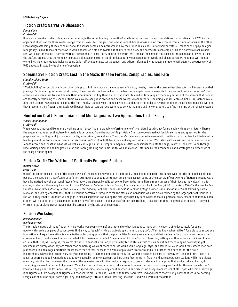# **Fiction Craft: Narrative Obsession**

#### *Emma Cline Craft—Fall*

How do we reveal ourselves, obliquely or otherwise, in the act of longing for another? And how can writers use such revelations for narrative effect? While the objects of obsession for these writers range from ex-lovers to strangers, our readings are all books whose driving force comes from a singular focus on the other. Even though ostensibly these are books "about" another person, I'm interested in how they function as a portrait of their narrators—maps of their psychological topography. I'd like to look at the ways in which obsession tints and twists our ability to tell a story and how writers can employ this as a narrative tool in their own work. For the reader, a narrator with an obsession is a useful entry point into a world. We'll look at the choices that these authors make and to what effect, the craft strategies that they employ to create a slippage in narration, and think about how obsession both reveals and obscures reality. Readings will include works by Chris Kraus, Maggie Nelson, Sophie Calle, Jeffrey Eugenides, Scott Spencer, and others. Informed by the reading, students will submit a creative work of 5-10 pages, animated by the theme of obsession.

# **Speculative Fiction Craft: Lost in the Maze: Unseen Forces, Conspiracies, and Fate**

## *Chandler Klang Smith*

## *Craft—Fall*

"Worldbuilding" in speculative fiction often brings to mind the maps on the endpapers of fantasy novels, showing the terrain that characters will traverse on their journeys. But in many great novels and stories, characters start out embedded in the heart of a labyrinth—and never find their way out. In this course, we'll look at fictive universes that trap and delude their inhabitants, sending them on twisting routes to dead ends or keeping them in ignorance of the powers-that-be who are secretly determining the shape of their lives. We'll closely read stories and novel excerpts from authors—including Manuel Gonzales, Kelly Link, Victor LaValle, Jonathan Lethem, Kazuo Ishiguro, Samantha Hunt, Mark Z. Danielewski, Thomas Pynchon, and others—in order to reverse-engineer the all-encompassing systems they present in their fiction. Ultimately, we'll ponder how writers can use systems to convey meaning and how characters can find meaning within those systems.

## **Nonfiction Craft: Emersonians and Montaignians: Two Approaches to the Essay**

## *Vinson Cunningham*

## *Craft—Fall*

When you say that you'd like to start working on an "essay," you're probably referring to one of two related but distinct forms, each with its own history. There's the argumentative essay that, here in America, is descended from the work of Ralph Waldo Emerson—developed out loud, in sermons and speeches, for the purpose of persuading (and, just as importantly, entertaining) an audience. Then there's the more ruminative essayistic tradition that stretches back to Michel de Montaigne and the French Renaissance. In this course, we'll explore both traditions and play with what we find. We'll start with classic early American sermons by John Winthrop and Jonathan Edwards, as well as Montaigne's first attempts to map his restless consciousness onto the page, in prose. Then we'll wind through time, visiting Emerson and Douglass, Didion and Sontag, Dr. King and Zadie Smith. We'll make work informed by their tendencies and strategies on either side of the essay's enduring line.

# **Fiction Craft: The Writing of Politically Engaged Fiction**

## *Wesley Brown*

#### *Craft—Fall*

One of the enduring assertions of the second wave of the Feminist Movement in the United States, beginning in the late 1960s, was that the personal is political. Despite the skepticism that often greets fiction attempting to engage contemporary political issues, some of the most significant works of fiction in recent years have dramatized how the personal fates of characters are shaped by political events beyond the immediate circumstances of their lives as individuals. In this course, students will read eight works of fiction (*Soldiers of Salamis* by Javier Cercas, *A Person of Interest* by Susan Choi, *Brief Encounters With Che Guevera* by Ben Fountain, *An Untamed State* by Roxane Gay, *Telex From Cuba* by Rachel Kushner, *The Last of Her Kind* by Sigrid Nunez, *The Association of Small Bombs* by Karan Mahajan, and *Run* by Ann Patchett) that use various narrative strategies to tell the stories of individuals who are also informed by the larger political realities in the world they inhabit. Students will engage in class discussions, examining the strategies used by each writer to make a personal story resonate politically. Each student will be required to give a presentation on how effective a particular work of fiction is in fulfilling the assertion that the personal is political. The typed written notes of class presentations must be turned in by the end of the semester.

# **Fiction Workshop**

## *David Hollander*

## *Workshop—Fall*

The formulaic nature of many fiction-writing workshops seems (to me) antithetical to what it means to make art. I've been trying desperately for years now—with varying degrees of success—to find a way to "teach" writing that feels open, honest, and playful. Want to know what I'd like? For a class to encourage innovation and experimentation, to come to the collective epiphany that the possibilities for story are endless, and that not everything that comes through the classroom has to be discussed in terms of what John Hawkes once called "the enemies of fiction"—plot, character, setting, and theme. I am suspicious of peer critique that uses, as its engine, the words "I want." In an ideal situation, we would try to see stories from the inside out and try to imagine how they might become more purely what they are rather than something we want them to be. We would value language, style, and structure. Voice would take precedence over plot. We would encourage ambitious failure more than careful success. We would applaud a writer for taking a risk rather than bury her for the risk's inscrutability. We wouldn't treat every story as something to be made publication-ready and wouldn't be so small-bore in the way we think and talk. These are ideas, of course, and tell you nothing about how I actually run my classroom. So here are a few things I'm (relatively) sure about. Each student will bring at least one story into the classroom over the course of the semester. We will often write in response to prompts designed to help you find a voice, take a chance, do something you wouldn't expect of yourself. We will, on two or three occasions, take a break from our routine to discuss a great (and, for those of you who don't know me, likely unorthodox) novel. We will try to spend some time talking about aesthetics and discussing essays from writers of all stripes who think they've got it all figured out. It's having it all figured out that scares me. In the end, I want us to follow Socrates's lead and realize that we only know that we know nothing. Every class should be equal parts rigor, play, and discovery. If this sounds interesting, show up—and we'll work out the details.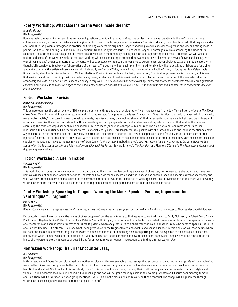# **Poetry Workshop: What Else Inside the Voice Inside the Ink?**

# *Aracelis Girmay*

## *Workshop—Fall*

How does a text behave like (or carry) the worlds and questions to which it responds? What Else or Elsewhere can be found inside the ink? How do writers cultivate encounter, observation, history, and imagination to tip and trouble language into experience? In this workshop, we will explore texts that inspire wonder and exemplify the powers of imaginative practice(s). Studying work that is original, strange, wondering, we will consider the gifts of mystery and strangeness in poems. (And here I am hearing Paul Celan in "The Meridian," translated by Pierre Joris: "The poem estranges. It estranges by its existence, by the mode of its existence, it stands opposite and against one, voiceful and voiceless simultaneously, as language, as language setting itself free…." Together we will work to understand some of the ways in which the texts are working while also engaging in studies that awaken our own idiosyncratic ways of saying and seeing. As a way of learning *with* assigned materials, participants will be expected to write poems in response to experiments, present beloved texts, and provide peers with thoughtfully considered feedback on/observations of their work. The course will be reading- and writing-intensive. It will also be a kind of laboratory for trying and making. Among the artists whose work we will likely study are Simone White, Hélène Cixous, Ilya Kaminsky, Lucille Clifton, Li-Young Lee, Paul Celan, Lucie Brock-Broido, Mary Ruefle, Vievee Francis, J. Michael Martinez, Clarice Lispector, James Baldwin, June Jordan, Cherrie Moraga, Ross Gay, W.S. Merwin, and Kamau Brathwaite. In addition to reading workshop materials by peers, students will read five assigned poetry collections over the course of the semester, along with other assigned texts (a pair of letters, a poem, an essay) every week. *This course takes its sense from my (our) craft course last semester. Several of the questions centered here are questions that we began to think about last semester, but this new course is new—and folks who either did or didn't take that course last year are all welcome.*

# **Fiction Workshop: Revision**

## *Rattawut Lapcharoensap*

#### *Workshop—Fall*

This course examines the art of revision. "[O]ne's plan, alas, is one thing and one's result another," Henry James says in the New York edition preface to *The Wings of the Dove.* We will try to think about what James calls, in that preface, "the gaps and the lapses" in our work, "the intentions that, with the best will in the world, were not to fructify," "the absent values, the palpable voids, the missing links, the mocking shadows" that necessarily haunt any early draft, and our subsequent attempts to exorcise those specters. We will do this primarily by workshopping early drafts of student work alongside revisions of that work in the hopes of examining the concrete ways that each revision meets or fails to meet (or even re-conceptualizes entirely) the ambitions and requirements of its earlier incarnation. Our assumption will be that most drafts—especially early ones—are largely failures, pocked with the Jamesian voids and lacunae mentioned above. Anyone can fail in this manner, of course—anybody can produce a disastrous first draft—but few are capable of failing (to use Samuel Beckett's oft-quoted injunction) better. This course aims to provide you with the tools and the strategies to do so. In addition to a selection from James's New York edition prefaces, our supplemental readings may also include revisions of Evan Connell's *Mrs. Bridge*, Elizabeth Bishop's *One Art*, Joyce's *The Sisters*, Raymond Carver's*What We Talk About When We Talk About Love*, Grace Paley's *A Conversation with My Father*, Edward P. Jones's *The First Day*, and Flannery O'Connor's *The Geranium* and *Judgement Day*, among many others.

# **Fiction Workshop: A Life in Fiction**

## *Victoria Redel*

#### *Workshop—Fall*

This workshop will focus on the development of craft, expanding the writer's understanding and range of character, syntax, narrative strategies, and narrative risk. We will look at published works of fiction to understand how a writer has accomplished what she/he has accomplished in a specific novel or short story and what we as writers can learn and make use of in the advancement of our own craft. In addition to working on drafts and revisions of fictions, there will be weekly writing experiments that will, hopefully, upend and expand preconceptions of language and structure in the shaping of fiction.

# **Poetry Workshop: Speaking in Tongues, Wearing the Mask: Speaker, Persona, Impersonation, Ventriloquism, Fragment**

## *Marie Howe*

#### *Workshop—Fall*

When I state myself, as the representative of the verse, it does not mean me, but a supposed person. —Emily Dickinson, in a letter to Thomas Wentworth Higginson.

For centuries, poets have spoken in the voices of other people—from the early Greeks to Shakespeare, to Walt Whitman, to Emily Dickinson, to Robert Frost, Sylvia Plath, Robert Hayden, Lucille Clifton, Louise Gluck, Patricia Smith, Nick Flynn, Jorie Graham, Tyehimba Jess, etc. What is made possible when one speaks in the voice of a character in an ancient story or myth? What is made possible when one gives voice to a character that lived in another time? Who dares to speak in the voice of a flower? Of a bee? Of a storm? Of a star? What if one gives voice to the fragments of voices within one consciousness? In this class, we will read poems where the poet has spoken in a different tongue or has worn the mask of someone or something else. Each participant will be expected to read assigned collections deeply each week, to meet with another student in a weekly poetry date, and to bring in one new persona poem each week. I hope we will find that outside the limits of the personal story is a cosmos of possibilities for empathy, revision, wonder, instruction, and finding another way in: *slant*.

# **Nonfiction Workshop: The Brief Encounter Essay**

## *Jo Ann Beard*

## *Workshop—Fall*

In this class, we will focus first on close reading and then on close writing—developing small essays that encompass something very large. We will do much of our work on the micro-level, as opposed to the macro-level, distilling ideas and language into perfect sentences, one after another, until we have created concise, beautiful works of art. We'll read and discuss short, powerful pieces by outside writers, studying their craft techniques in order to perfect our own styles and voices. Of our six conferences, four will be individual meetings and two will be group meetings held in the evening to watch and discuss documentary films; in addition, there will be four monthly peer-group meetings. (Note: This is not a class in which to work on thesis material; the essays will be generated through writing exercises designed with specific topics and goals in mind.)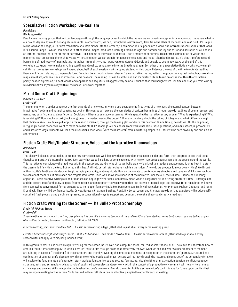# **Speculative Fiction Workshop: Un-Realism**

## *David Ryan*

## *Workshop—Fall*

Paul Ricoeur has suggested that written language—through the unique process by which the human brain converts metaphor into image—can make real what in our day-to-day reality would be tangibly impossible. In other words, we can, through the written word, draw from the ether of madness and *real*-ize it. It's unique to the word on the page, our brain's translation of a little cipher into the letter "a," a combination of ciphers into a word, our internal transmutation of that word into a sound-image—which, combined with other sound-images, produces breathing dreams of logic and paradox and joy and terror and narrative drive. And it's an internal process that other forms of narrative—like cinema or television or theatre—don't require of our brains. This internal combustion of words and memories is an amazing alchemy that we, as writers, engineer. We can transfer madness onto a page and make it hard and material. It's that transference and burnishing of madness—of manipulating metaphor into reality—that I want you to understand deeply and be able to use in new ways by the end of this workshop…to know how to make anything startling and real…to send anyone into the breathing dream. So, rather than a speculative fiction workshop, we might call this an *un-realism* workshop. We'll spend about half of each session workshopping student writing but will devote the rest of the time to outside reading: theory and fiction relating to the parable form, Freudian dream work, mise en abyme, frame narrative, mazes, pattern language, conceptual metaphor, surrealism, magical realism, anti-realism, and irrealism. Some caveats: The reading list will be ambitious and mandatory. I tend to run on at the mouth with abstraction, pointy-headed digression, 10-cent words, and apparent non sequiturs. I'll aggressively point out clichés that you thought were just fine and stop you from writing television shows. If you're okay with all the above, let's work together.

# **Mixed Genre Craft: Beginnings**

## *Suzanne R. Hoover*

## *Craft—Fall*

The moment when a spider sends out the first strands of a new web, or when a bird positions the first twigs of a new nest, the eternal contest between imaginative freedom and natural constraints begins. This course will explore the complexity of written beginnings through weekly readings of poems, essays, and narratives, both fictional and nonfictional. Decisions will have to be made concerning: Who is speaking the narrative, essay, or poem? Who is experiencing it? Who is receiving it? How much context (back story) does the reader need at the outset? Where in the story should the telling of it begin, and what difference might that choice make? How do we pull or push the reader, decisively, through the looking glass and into this new world? And finally, how do we END the beginning, intriguingly, so the reader will want to move on to the MIDDLE? Readings will be chosen from works that raise these questions, and many others, in provocative and instructive ways. Students will lead the discussions each week (with the instructor) from a writer's perspective. There will be both biweekly and one-on-one conferences.

# **Fiction Craft: Plot/Unplot: Structure, Voice, and the Narrative Unconscious**

## *David Ryan*

## *Craft—Fall*

This class will discuss what makes contemporary narrative move. We'll begin with some fundamental ideas on plot and form, then progress to less traditional thoughts on narrative's internal circuitry. Each story that we tell is a kind of consciousness with its own repressed activity living in the space around the words. This narrative unconscious—the madness within the syntax and word choice of its symbolic order—is critical to a reader's engagement. It's the heat in a story, the daemonic life within the text. But what is this heat? Why do certain stories have it while others don't? How do we produce it in our own writing? We'll start with Aristotle's *Poetics*—his ideas on tragic vs. epic plots, unity, and magnitude. How do they relate to contemporary structure and dynamics? I'll show you how we can adapt them to suit more open and fragmented forms. Then we'll move into theories of the narrative unconscious: the sublime, Duende, the uncanny, abjection. How is creative writing a kind of madness of language? What does John Dewey mean when he says that art is a "living creature"? How—through plot and the distortions of ambiguity, ellipsis, fragmentation, and metaphor—do we navigate that line between internal logic and creative force? Readings will move from somewhat conventional formal structures to more open forms—Paula Fox, Denis Johnson, Emily Holmes Coleman, Henry Green, Michael Ondaatje, and Jenny Erpenbeck. Theory will draw from Aristotle, Dewey, Bergson, Chatman, Barthes, Freud, Bly, Lorca, Lacan, and Kristeva. Weekly writing exercises will produce selfcontained flash pieces, using plot in compressed, unconventional ways to support and counter the week's theory and creative readings.

# **Fiction Craft: Writing for the Screen—The Bullet-Proof Screenplay**

## *Frederick Michael Strype*

## *Craft—Fall*

*Screenwriting is not so much a writing discipline as it is one allied with the tenants of the oral tradition of storytelling. In the best scripts, you are telling us your film.* —Paul Schrader, Screenwriter/Director, Telluride, CO, 1989

*In screenwriting, you show. You don't tell.* —Classic screenwriting adage (attributed to just about every screenwriting guru)

*I wrote a beautiful script, and "they" shot it—shot it full of holes—and made a terrible film. —*Classic screenwriter lament (attributed to just about every screenwriter unhappy with his/her produced work)

In this graduate craft class, we will explore writing for the screen, be it silver, flat, computer-based, for iPad or smartphone, et al. The aim is to understand how to create a "bullet-proof screenplay" in which a writer "tells" a film through prose that effectively "shows" what we see and what we hear moment to moment, articulating the action ("the doing") of the characters and thereby revealing the emotional moments of recognition in the characters' journey. Structured as a combination of seminar craft class along with some workshop-style exchanges, writers will journey through the nature and construct of the screenplay form. We will explore the fundamentals of character, story, worldbuilding, universe and setting, formatting, visual writing, dramatic action, tension, conflict, sequence structure, acts, and screenplay style. Analysis of published screenplays and peer work within the context of a productive environment will help writers hone a critical eye and develop skills to apply to troubleshooting one's own work. Overall, the writer builds a screenwriter's toolkit to use for future opportunities that may emerge in writing for the screen. Skills learned in this craft class can be effectively applied to other threads of writing.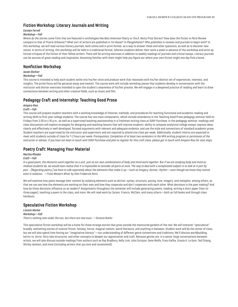# **Fiction Workshop: Literary Journals and Writing**

## *Carolyn Ferrell*

## *Workshop—Fall*

Where do the stories come from that are featured in anthologies like *Best American Poetry* or the *O. Henry Prize Stories*? How does the fiction in *Paris Review* compare to that of *Prairie Schooner*? What sort of writers are published in *Tin House*? In *Ploughshares*? Who publishes in reviews and journals to begin with? In this workshop, we will read various literary journals, both online and in print format, as a way to answer these and other questions, as well as to discover new voices. In terms of writing, this workshop will be held in a traditional format, wherein students deliver their work a week in advance of the workshop and write up formal critiques of the fiction of their fellow writers. There will be writing exercises in addition to weekly readings of journals and critical essays. Literary journals can be sources of great reading and inspiration; becoming familiar with them might help you figure out where your own fiction might one day find a home.

# **Nonfiction Workshop**

## *Jacob Slichter*

## *Workshop—Fall*

This course is intended to help each student settle into his/her voice and produce work that resonates with his/her distinct set of experiences, interests, and insights. The prime focus will be personal essay and memoir. The course work will include workshop pieces that students develop in conversation with the instructor and shorter exercises intended to open the student's awareness of his/her process. We will engage in a deepened practice of reading and learn to draw connections between writing and other creative fields, such as music and film.

# **Pedagogy Craft and Internship: Teaching Good Prose**

## *Amparo Rios*

## *Craft—Fall*

This course will prepare student-teachers with a working knowledge of theories, methods, and procedures for teaching functional and academic reading and writing skills to first-year college students. The course has two main components, which include attendance in the Teaching Good Prose pedagogy seminar held on Fridays from 2:30 to 4:10 p.m., as well as a supervised teaching assistantship in a freshman writing class at SUNY Purchase. In the pedagogy seminar, readings and class discussions will explore strategies for designing and teaching lessons that will improve students' ability to compose analytical college essays; express ideas clearly and effectively in well-developed, focused arguments with relevant and adequate evidence; and use the style and conventions of standard academic prose. Student-teachers are supervised by the instructor and supervisors and are required to attend one class per week. Additionally, student-interns are expected to meet with students outside of class for 1-2 hours per week. *Prerequisites: Completion of at least two semesters in the MFA writing program or permission of the instructor or adviser. If you have not been in touch with SUNY Purchase and plan to register for this craft class, please get in touch with Amparo Rios for next steps.*

# **Poetry Craft: Managing Your Material**

## *Martha Rhodes*

## *Craft—Fall*

*In a good poem, the elements work together as a unit, just as our own combinations of body and mind work together. But if we are studying body and mind as medical students do, we would soon realize that it is impossible to consider all parts at once. The way to deal with a complicated subject is to look at it part by part.…[Regarding poetry,] we have to talk separately about the elements that make it up—such as imagery, diction, rhythm—even though we know they cannot exist in isolation.* —from *Western Wind,* by John Frederick Nims

We will examine how poets manage their content by isolating elements such as diction, syntax, structure, pacing, tone, imagery, and metaphor, among others, so that we can see how the elements are working on their own and how they cooperate and don't cooperate with each other. What decisions is the poet making? And how do those decisions influence us as readers? Assignments throughout the semester will include generating poems, reading, writing a short paper (two-tothree pages), teaching a poem to the class, and more. We will read work by Carson, Francis, McClain, and many others—both as full books and through class handouts.

# **Speculative Fiction Workshop**

*Lincoln Michel Workshop—Fall There's nothing new under the sun, but there are new suns.* —Octavia Butler

This speculative fiction workshop will be a home for those strange stories that grow outside the manicured gardens of the real. We will interpret "speculative" broadly, welcoming stories of science fiction, fantasy, horror, magical realism, weird literature, and anything in between. Student work will be the center of class, but we will also spend time honing our "imaginative literacy"—our understanding of different genre conventions and traditions. We'll discuss worldbuilding, horror vs. terror, fairy-tale structures, and other concepts to deepen our appreciation and craft. Because genres are, in a sense, large conversations between artists, we will also discuss outside readings from authors such as Ray Bradbury, Kelly Link, Julio Cortazar, Gene Wolfe, Franz Kafka, Ursula K. Le Guin, Ted Chiang, Shirley Jackson, and more (including writers that you love and recommend).